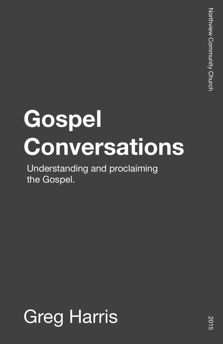# **Gospel Conversations**

Understanding and proclaiming the Gospel.

## Greg Harris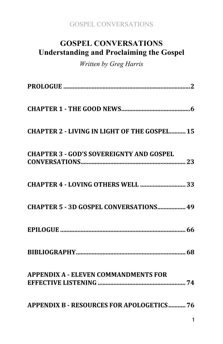## **GOSPEL CONVERSATIONS Understanding and Proclaiming the Gospel**

*Written by Greg Harris*

| <b>CHAPTER 2 - LIVING IN LIGHT OF THE GOSPEL 15</b> |
|-----------------------------------------------------|
| <b>CHAPTER 3 - GOD'S SOVEREIGNTY AND GOSPEL</b>     |
| CHAPTER 4 - LOVING OTHERS WELL  33                  |
| CHAPTER 5 - 3D GOSPEL CONVERSATIONS 49              |
|                                                     |
|                                                     |
| <b>APPENDIX A - ELEVEN COMMANDMENTS FOR</b>         |
| <b>APPENDIX B - RESOURCES FOR APOLOGETICS 76</b>    |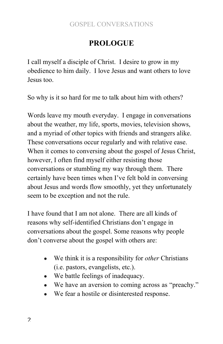## **PROLOGUE**

I call myself a disciple of Christ. I desire to grow in my obedience to him daily. I love Jesus and want others to love Jesus too.

So why is it so hard for me to talk about him with others?

Words leave my mouth everyday. I engage in conversations about the weather, my life, sports, movies, television shows, and a myriad of other topics with friends and strangers alike. These conversations occur regularly and with relative ease. When it comes to conversing about the gospel of Jesus Christ, however, I often find myself either resisting those conversations or stumbling my way through them. There certainly have been times when I've felt bold in conversing about Jesus and words flow smoothly, yet they unfortunately seem to be exception and not the rule.

I have found that I am not alone. There are all kinds of reasons why self-identified Christians don't engage in conversations about the gospel. Some reasons why people don't converse about the gospel with others are:

- We think it is a responsibility for *other* Christians (i.e. pastors, evangelists, etc.).
- We battle feelings of inadequacy.
- We have an aversion to coming across as "preachy."
- We fear a hostile or disinterested response.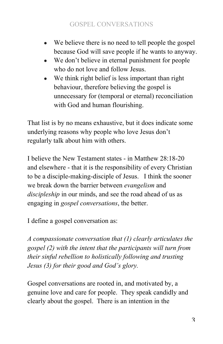- We believe there is no need to tell people the gospel because God will save people if he wants to anyway.
- We don't believe in eternal punishment for people who do not love and follow Jesus.
- We think right belief is less important than right behaviour, therefore believing the gospel is unnecessary for (temporal or eternal) reconciliation with God and human flourishing.

That list is by no means exhaustive, but it does indicate some underlying reasons why people who love Jesus don't regularly talk about him with others.

I believe the New Testament states - in Matthew 28:18-20 and elsewhere - that it is the responsibility of every Christian to be a disciple-making-disciple of Jesus. I think the sooner we break down the barrier between *evangelism* and *discipleship* in our minds, and see the road ahead of us as engaging in *gospel conversations*, the better.

I define a gospel conversation as:

*A compassionate conversation that (1) clearly articulates the gospel (2) with the intent that the participants will turn from their sinful rebellion to holistically following and trusting Jesus (3) for their good and God's glory.*

Gospel conversations are rooted in, and motivated by, a genuine love and care for people. They speak candidly and clearly about the gospel. There is an intention in the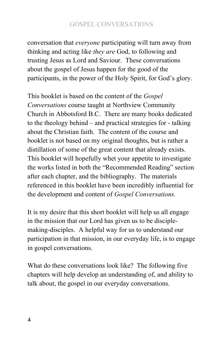conversation that *everyone* participating will turn away from thinking and acting like *they are* God, to following and trusting Jesus as Lord and Saviour. These conversations about the gospel of Jesus happen for the good of the participants, in the power of the Holy Spirit, for God's glory.

This booklet is based on the content of the *Gospel Conversations* course taught at Northview Community Church in Abbotsford B.C. There are many books dedicated to the theology behind – and practical strategies for - talking about the Christian faith. The content of the course and booklet is not based on my original thoughts, but is rather a distillation of some of the great content that already exists. This booklet will hopefully whet your appetite to investigate the works listed in both the "Recommended Reading" section after each chapter, and the bibliography. The materials referenced in this booklet have been incredibly influential for the development and content of *Gospel Conversations.* 

It is my desire that this short booklet will help us all engage in the mission that our Lord has given us to be disciplemaking-disciples. A helpful way for us to understand our participation in that mission, in our everyday life, is to engage in gospel conversations.

What do these conversations look like? The following five chapters will help develop an understanding of, and ability to talk about, the gospel in our everyday conversations.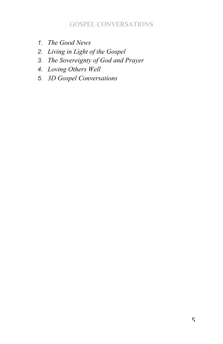- *1. The Good News*
- *2. Living in Light of the Gospel*
- *3. The Sovereignty of God and Prayer*
- *4. Loving Others Well*
- *5. 3D Gospel Conversations*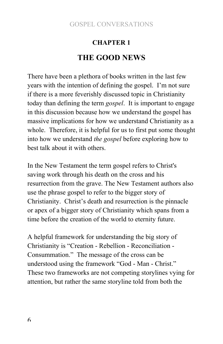## **CHAPTER 1 THE GOOD NEWS**

There have been a plethora of books written in the last few years with the intention of defining the gospel. I'm not sure if there is a more feverishly discussed topic in Christianity today than defining the term *gospel*. It is important to engage in this discussion because how we understand the gospel has massive implications for how we understand Christianity as a whole. Therefore, it is helpful for us to first put some thought into how we understand *the gospel* before exploring how to best talk about it with others.

In the New Testament the term gospel refers to Christ's saving work through his death on the cross and his resurrection from the grave. The New Testament authors also use the phrase gospel to refer to the bigger story of Christianity. Christ's death and resurrection is the pinnacle or apex of a bigger story of Christianity which spans from a time before the creation of the world to eternity future.

A helpful framework for understanding the big story of Christianity is "Creation - Rebellion - Reconciliation - Consummation." The message of the cross can be understood using the framework "God - Man - Christ." These two frameworks are not competing storylines vying for attention, but rather the same storyline told from both the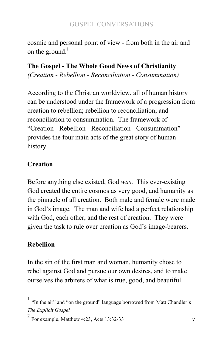cosmic and personal point of view - from both in the air and on the ground. $<sup>1</sup>$ </sup>

## **The Gospel - The Whole Good News of Christianity**

*(Creation - Rebellion - Reconciliation - Consummation)*

According to the Christian worldview, all of human history can be understood under the framework of a progression from creation to rebellion; rebellion to reconciliation; and reconciliation to consummation. The framework of "Creation - Rebellion - Reconciliation - Consummation" provides the four main acts of the great story of human history.

## **Creation**

Before anything else existed, God *was*. This ever-existing God created the entire cosmos as very good, and humanity as the pinnacle of all creation. Both male and female were made in God's image. The man and wife had a perfect relationship with God, each other, and the rest of creation. They were given the task to rule over creation as God's image-bearers.

## **Rebellion**

In the sin of the first man and woman, humanity chose to rebel against God and pursue our own desires, and to make ourselves the arbiters of what is true, good, and beautiful.

 $<sup>1</sup>$  "In the air" and "on the ground" language borrowed from Matt Chandler's</sup> *The Explicit Gospel*

 $2$  For example, Matthew 4:23, Acts 13:32-33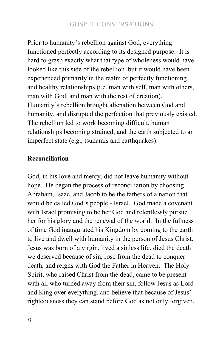Prior to humanity's rebellion against God, everything functioned perfectly according to its designed purpose. It is hard to grasp exactly what that type of wholeness would have looked like this side of the rebellion, but it would have been experienced primarily in the realm of perfectly functioning and healthy relationships (i.e. man with self, man with others, man with God, and man with the rest of creation). Humanity's rebellion brought alienation between God and humanity, and disrupted the perfection that previously existed. The rebellion led to work becoming difficult, human relationships becoming strained, and the earth subjected to an imperfect state (e.g., tsunamis and earthquakes).

## **Reconciliation**

God, in his love and mercy, did not leave humanity without hope. He began the process of reconciliation by choosing Abraham, Isaac, and Jacob to be the fathers of a nation that would be called God's people - Israel. God made a covenant with Israel promising to be her God and relentlessly pursue her for his glory and the renewal of the world. In the fullness of time God inaugurated his Kingdom by coming to the earth to live and dwell with humanity in the person of Jesus Christ. Jesus was born of a virgin, lived a sinless life, died the death we deserved because of sin, rose from the dead to conquer death, and reigns with God the Father in Heaven. The Holy Spirit, who raised Christ from the dead, came to be present with all who turned away from their sin, follow Jesus as Lord and King over everything, and believe that because of Jesus' righteousness they can stand before God as not only forgiven,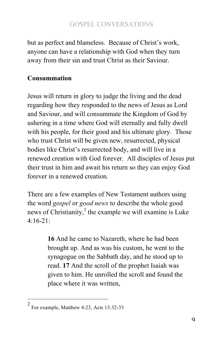but as perfect and blameless. Because of Christ's work, anyone can have a relationship with God when they turn away from their sin and trust Christ as their Saviour.

## **Consummation**

Jesus will return in glory to judge the living and the dead regarding how they responded to the news of Jesus as Lord and Saviour, and will consummate the Kingdom of God by ushering in a time where God will eternally and fully dwell with his people, for their good and his ultimate glory. Those who trust Christ will be given new, resurrected, physical bodies like Christ's resurrected body, and will live in a renewed creation with God forever. All disciples of Jesus put their trust in him and await his return so they can enjoy God forever in a renewed creation.

There are a few examples of New Testament authors using the word *gospel* or *good news* to describe the whole good news of Christianity, $^{2}$  the example we will examine is Luke  $4.16 - 21$ 

> **16** And he came to Nazareth, where he had been brought up. And as was his custom, he went to the synagogue on the Sabbath day, and he stood up to read. **17** And the scroll of the prophet Isaiah was given to him. He unrolled the scroll and found the place where it was written,

For example, Matthew 4:23, Acts 13:32-33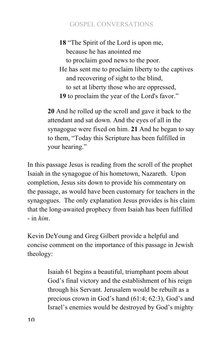**18** "The Spirit of the Lord is upon me, because he has anointed me to proclaim good news to the poor. He has sent me to proclaim liberty to the captives and recovering of sight to the blind, to set at liberty those who are oppressed, **19** to proclaim the year of the Lord's favor."

**20** And he rolled up the scroll and gave it back to the attendant and sat down. And the eyes of all in the synagogue were fixed on him. **21** And he began to say to them, "Today this Scripture has been fulfilled in your hearing."

In this passage Jesus is reading from the scroll of the prophet Isaiah in the synagogue of his hometown, Nazareth. Upon completion, Jesus sits down to provide his commentary on the passage, as would have been customary for teachers in the synagogues. The only explanation Jesus provides is his claim that the long-awaited prophecy from Isaiah has been fulfilled - in *him*.

Kevin DeYoung and Greg Gilbert provide a helpful and concise comment on the importance of this passage in Jewish theology:

> Isaiah 61 begins a beautiful, triumphant poem about God's final victory and the establishment of his reign through his Servant. Jerusalem would be rebuilt as a precious crown in God's hand (61:4; 62:3), God's and Israel's enemies would be destroyed by God's mighty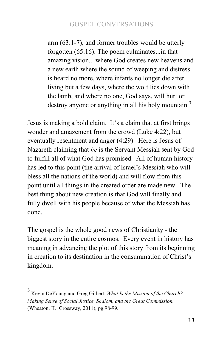arm (63:1-7), and former troubles would be utterly forgotten (65:16). The poem culminates...in that amazing vision... where God creates new heavens and a new earth where the sound of weeping and distress is heard no more, where infants no longer die after living but a few days, where the wolf lies down with the lamb, and where no one, God says, will hurt or destroy anyone or anything in all his holy mountain.<sup>3</sup>

Jesus is making a bold claim. It's a claim that at first brings wonder and amazement from the crowd (Luke 4:22), but eventually resentment and anger (4:29). Here is Jesus of Nazareth claiming that *he* is the Servant Messiah sent by God to fulfill all of what God has promised. All of human history has led to this point (the arrival of Israel's Messiah who will bless all the nations of the world) and will flow from this point until all things in the created order are made new. The best thing about new creation is that God will finally and fully dwell with his people because of what the Messiah has done.

The gospel is the whole good news of Christianity - the biggest story in the entire cosmos. Every event in history has meaning in advancing the plot of this story from its beginning in creation to its destination in the consummation of Christ's kingdom.

 $^3$  Kevin DeYoung and Greg Gilbert, *What Is the Mission of the Church*?: *Making Sense of Social Justice, Shalom, and the Great Commission.* (Wheaton, IL: Crossway, 2011), pg.98-99.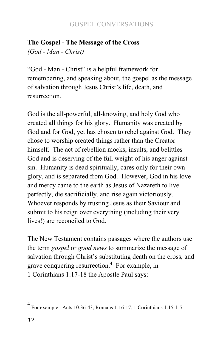#### **The Gospel - The Message of the Cross** *(God - Man - Christ)*

"God - Man - Christ" is a helpful framework for remembering, and speaking about, the gospel as the message of salvation through Jesus Christ's life, death, and

resurrection.

God is the all-powerful, all-knowing, and holy God who created all things for his glory. Humanity was created by God and for God, yet has chosen to rebel against God. They chose to worship created things rather than the Creator himself. The act of rebellion mocks, insults, and belittles God and is deserving of the full weight of his anger against sin. Humanity is dead spiritually, cares only for their own glory, and is separated from God. However, God in his love and mercy came to the earth as Jesus of Nazareth to live perfectly, die sacrificially, and rise again victoriously. Whoever responds by trusting Jesus as their Saviour and submit to his reign over everything (including their very lives!) are reconciled to God.

The New Testament contains passages where the authors use the term *gospel* or *good news* to summarize the message of salvation through Christ's substituting death on the cross, and grave conquering resurrection.<sup>4</sup> For example, in 1 Corinthians 1:17-18 the Apostle Paul says:

<sup>4&</sup>lt;br>
For example: Acts 10:36-43, Romans 1:16-17, 1 Corinthians 1:15:1-5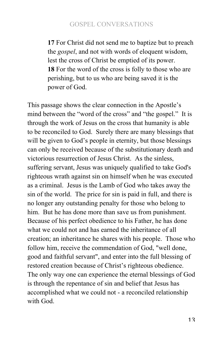**17** For Christ did not send me to baptize but to preach the *gospel*, and not with words of eloquent wisdom, lest the cross of Christ be emptied of its power. **18** For the word of the cross is folly to those who are perishing, but to us who are being saved it is the power of God.

This passage shows the clear connection in the Apostle's mind between the "word of the cross" and "the gospel." It is through the work of Jesus on the cross that humanity is able to be reconciled to God. Surely there are many blessings that will be given to God's people in eternity, but those blessings can only be received because of the substitutionary death and victorious resurrection of Jesus Christ. As the sinless, suffering servant, Jesus was uniquely qualified to take God's righteous wrath against sin on himself when he was executed as a criminal. Jesus is the Lamb of God who takes away the sin of the world. The price for sin is paid in full, and there is no longer any outstanding penalty for those who belong to him. But he has done more than save us from punishment. Because of his perfect obedience to his Father, he has done what we could not and has earned the inheritance of all creation; an inheritance he shares with his people. Those who follow him, receive the commendation of God, "well done, good and faithful servant", and enter into the full blessing of restored creation because of Christ's righteous obedience. The only way one can experience the eternal blessings of God is through the repentance of sin and belief that Jesus has accomplished what we could not - a reconciled relationship with God.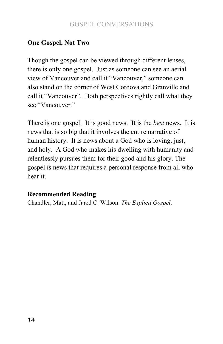## **One Gospel, Not Two**

Though the gospel can be viewed through different lenses, there is only one gospel. Just as someone can see an aerial view of Vancouver and call it "Vancouver," someone can also stand on the corner of West Cordova and Granville and call it "Vancouver". Both perspectives rightly call what they see "Vancouver."

There is one gospel. It is good news. It is the *best* news. It is news that is so big that it involves the entire narrative of human history. It is news about a God who is loving, just, and holy. A God who makes his dwelling with humanity and relentlessly pursues them for their good and his glory. The gospel is news that requires a personal response from all who hear it.

#### **Recommended Reading**

Chandler, Matt, and Jared C. Wilson. *The Explicit Gospel*.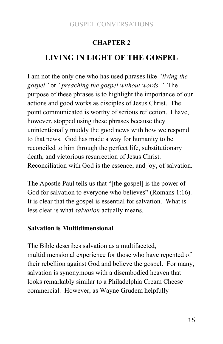### **CHAPTER 2**

## **LIVING IN LIGHT OF THE GOSPEL**

I am not the only one who has used phrases like *"living the gospel"* or *"preaching the gospel without words."* The purpose of these phrases is to highlight the importance of our actions and good works as disciples of Jesus Christ. The point communicated is worthy of serious reflection. I have, however, stopped using these phrases because they unintentionally muddy the good news with how we respond to that news. God has made a way for humanity to be reconciled to him through the perfect life, substitutionary death, and victorious resurrection of Jesus Christ. Reconciliation with God is the essence, and joy, of salvation.

The Apostle Paul tells us that "[the gospel] is the power of God for salvation to everyone who believes" (Romans 1:16). It is clear that the gospel is essential for salvation. What is less clear is what *salvation* actually means.

#### **Salvation is Multidimensional**

The Bible describes salvation as a multifaceted, multidimensional experience for those who have repented of their rebellion against God and believe the gospel. For many, salvation is synonymous with a disembodied heaven that looks remarkably similar to a Philadelphia Cream Cheese commercial. However, as Wayne Grudem helpfully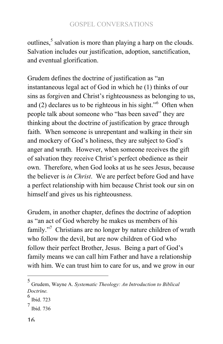outlines, $5$  salvation is more than playing a harp on the clouds. Salvation includes our justification, adoption, sanctification, and eventual glorification.

Grudem defines the doctrine of justification as "an instantaneous legal act of God in which he (1) thinks of our sins as forgiven and Christ's righteousness as belonging to us, and  $(2)$  declares us to be righteous in his sight."<sup>6</sup> Often when people talk about someone who "has been saved" they are thinking about the doctrine of justification by grace through faith. When someone is unrepentant and walking in their sin and mockery of God's holiness, they are subject to God's anger and wrath. However, when someone receives the gift of salvation they receive Christ's perfect obedience as their own. Therefore, when God looks at us he sees Jesus, because the believer is *in Christ*. We are perfect before God and have a perfect relationship with him because Christ took our sin on himself and gives us his righteousness.

Grudem, in another chapter, defines the doctrine of adoption as "an act of God whereby he makes us members of his family."<sup>7</sup> Christians are no longer by nature children of wrath who follow the devil, but are now children of God who follow their perfect Brother, Jesus. Being a part of God's family means we can call him Father and have a relationship with him. We can trust him to care for us, and we grow in our

<sup>&</sup>lt;sup>5</sup> Grudem, Wayne A. *Systematic Theology: An Introduction to Biblical Doctrine.*

 $6$  Ibid. 723

 $^7$  Ibid. 736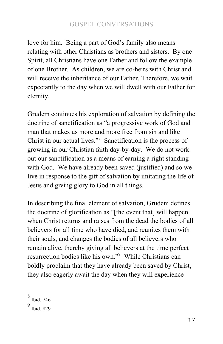love for him. Being a part of God's family also means relating with other Christians as brothers and sisters. By one Spirit, all Christians have one Father and follow the example of one Brother. As children, we are co-heirs with Christ and will receive the inheritance of our Father. Therefore, we wait expectantly to the day when we will dwell with our Father for eternity.

Grudem continues his exploration of salvation by defining the doctrine of sanctification as "a progressive work of God and man that makes us more and more free from sin and like Christ in our actual lives."8 Sanctification is the process of growing in our Christian faith day-by-day. We do not work out our sanctification as a means of earning a right standing with God. We have already been saved (justified) and so we live in response to the gift of salvation by imitating the life of Jesus and giving glory to God in all things.

In describing the final element of salvation, Grudem defines the doctrine of glorification as "[the event that] will happen when Christ returns and raises from the dead the bodies of all believers for all time who have died, and reunites them with their souls, and changes the bodies of all believers who remain alive, thereby giving all believers at the time perfect resurrection bodies like his own."<sup>9</sup> While Christians can boldly proclaim that they have already been saved by Christ, they also eagerly await the day when they will experience

**<sup>8</sup>** Ibid. 746

<sup>9</sup> Ibid. 829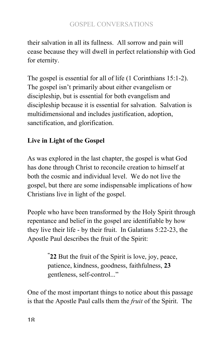their salvation in all its fullness. All sorrow and pain will cease because they will dwell in perfect relationship with God for eternity.

The gospel is essential for all of life (1 Corinthians 15:1-2). The gospel isn't primarily about either evangelism or discipleship, but is essential for both evangelism and discipleship because it is essential for salvation. Salvation is multidimensional and includes justification, adoption, sanctification, and glorification.

## **Live in Light of the Gospel**

As was explored in the last chapter, the gospel is what God has done through Christ to reconcile creation to himself at both the cosmic and individual level. We do not live the gospel, but there are some indispensable implications of how Christians live in light of the gospel.

People who have been transformed by the Holy Spirit through repentance and belief in the gospel are identifiable by how they live their life - by their fruit. In Galatians 5:22-23, the Apostle Paul describes the fruit of the Spirit:

> **" 22** But the fruit of the Spirit is love, joy, peace, patience, kindness, goodness, faithfulness, **23** gentleness, self-control..."

One of the most important things to notice about this passage is that the Apostle Paul calls them the *fruit* of the Spirit. The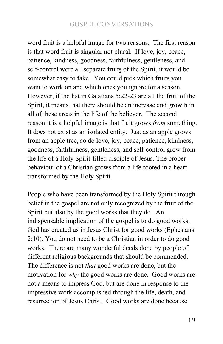word fruit is a helpful image for two reasons. The first reason is that word fruit is singular not plural. If love, joy, peace, patience, kindness, goodness, faithfulness, gentleness, and self-control were all separate fruits of the Spirit, it would be somewhat easy to fake. You could pick which fruits you want to work on and which ones you ignore for a season. However, if the list in Galatians 5:22-23 are all the fruit of the Spirit, it means that there should be an increase and growth in all of these areas in the life of the believer. The second reason it is a helpful image is that fruit grows *from* something. It does not exist as an isolated entity. Just as an apple grows from an apple tree, so do love, joy, peace, patience, kindness, goodness, faithfulness, gentleness, and self-control grow from the life of a Holy Spirit-filled disciple of Jesus. The proper behaviour of a Christian grows from a life rooted in a heart transformed by the Holy Spirit.

People who have been transformed by the Holy Spirit through belief in the gospel are not only recognized by the fruit of the Spirit but also by the good works that they do. An indispensable implication of the gospel is to do good works. God has created us in Jesus Christ for good works (Ephesians 2:10). You do not need to be a Christian in order to do good works. There are many wonderful deeds done by people of different religious backgrounds that should be commended. The difference is not *that* good works are done, but the motivation for *why* the good works are done. Good works are not a means to impress God, but are done in response to the impressive work accomplished through the life, death, and resurrection of Jesus Christ. Good works are done because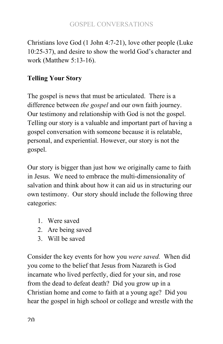Christians love God (1 John 4:7-21), love other people (Luke 10:25-37), and desire to show the world God's character and work (Matthew 5:13-16).

## **Telling Your Story**

The gospel is news that must be articulated. There is a difference between *the gospel* and our own faith journey. Our testimony and relationship with God is not the gospel. Telling our story is a valuable and important part of having a gospel conversation with someone because it is relatable, personal, and experiential. However, our story is not the gospel.

Our story is bigger than just how we originally came to faith in Jesus. We need to embrace the multi-dimensionality of salvation and think about how it can aid us in structuring our own testimony. Our story should include the following three categories:

- 1. Were saved
- 2. Are being saved
- 3. Will be saved

Consider the key events for how you *were saved.* When did you come to the belief that Jesus from Nazareth is God incarnate who lived perfectly, died for your sin, and rose from the dead to defeat death? Did you grow up in a Christian home and come to faith at a young age? Did you hear the gospel in high school or college and wrestle with the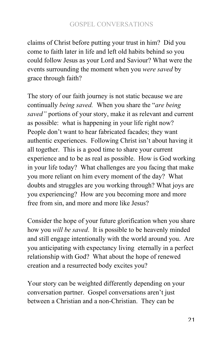claims of Christ before putting your trust in him? Did you come to faith later in life and left old habits behind so you could follow Jesus as your Lord and Saviour? What were the events surrounding the moment when you *were saved* by grace through faith?

The story of our faith journey is not static because we are continually *being saved.* When you share the "*are being saved"* portions of your story, make it as relevant and current as possible: what is happening in your life right now? People don't want to hear fabricated facades; they want authentic experiences. Following Christ isn't about having it all together. This is a good time to share your current experience and to be as real as possible. How is God working in your life today? What challenges are you facing that make you more reliant on him every moment of the day? What doubts and struggles are you working through? What joys are you experiencing? How are you becoming more and more free from sin, and more and more like Jesus?

Consider the hope of your future glorification when you share how you *will be saved*. It is possible to be heavenly minded and still engage intentionally with the world around you. Are you anticipating with expectancy living eternally in a perfect relationship with God? What about the hope of renewed creation and a resurrected body excites you?

Your story can be weighted differently depending on your conversation partner. Gospel conversations aren't just between a Christian and a non-Christian. They can be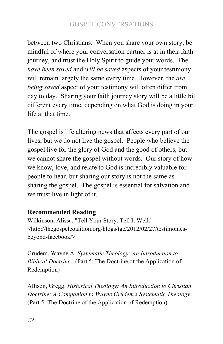between two Christians. When you share your own story, be mindful of where your conversation partner is at in their faith journey, and trust the Holy Spirit to guide your words. The *have been saved* and *will be saved* aspects of your testimony will remain largely the same every time. However, the *are being saved* aspect of your testimony will often differ from day to day. Sharing your faith journey story will be a little bit different every time, depending on what God is doing in your life at that time.

The gospel is life altering news that affects every part of our lives, but we do not live the gospel. People who believe the gospel live for the glory of God and the good of others, but we cannot share the gospel without words. Our story of how we know, love, and relate to God is incredibly valuable for people to hear, but sharing our story is not the same as sharing the gospel. The gospel is essential for salvation and we must live in light of it.

## **Recommended Reading**

Wilkinson, Alissa. "Tell Your Story, Tell It Well." <http://thegospelcoalition.org/blogs/tgc/2012/02/27/testimoniesbeyond-facebook/>

Grudem, Wayne A. *Systematic Theology: An Introduction to Biblical Doctrine*. (Part 5: The Doctrine of the Application of Redemption)

Allison, Gregg. *Historical Theology: An Introduction to Christian Doctrine: A Companion to Wayne Grudem's Systematic Theology*. (Part 5: The Doctrine of the Application of Redemption)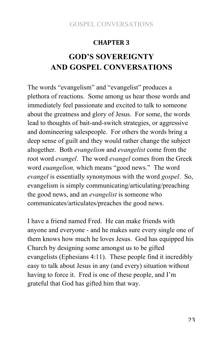#### **CHAPTER(3**

## **GOD'S SOVEREIGNTY AND GOSPEL CONVERSATIONS**

The words "evangelism" and "evangelist" produces a plethora of reactions. Some among us hear those words and immediately feel passionate and excited to talk to someone about the greatness and glory of Jesus. For some, the words lead to thoughts of bait-and-switch strategies, or aggressive and domineering salespeople. For others the words bring a deep sense of guilt and they would rather change the subject altogether. Both *evangelism* and *evangelist* come from the root word *evangel*. The word *evangel* comes from the Greek word *euangelion,* which means "good news." The word *evangel* is essentially synonymous with the word *gospel*. So, evangelism is simply communicating/articulating/preaching the good news, and an *evangelist* is someone who communicates/articulates/preaches the good news.

I have a friend named Fred. He can make friends with anyone and everyone - and he makes sure every single one of them knows how much he loves Jesus. God has equipped his Church by designing some amongst us to be gifted evangelists (Ephesians 4:11). These people find it incredibly easy to talk about Jesus in any (and every) situation without having to force it. Fred is one of these people, and I'm grateful that God has gifted him that way.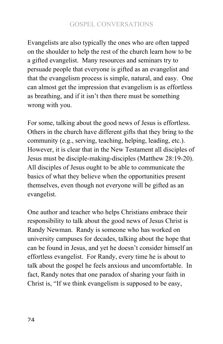Evangelists are also typically the ones who are often tapped on the shoulder to help the rest of the church learn how to be a gifted evangelist. Many resources and seminars try to persuade people that everyone is gifted as an evangelist and that the evangelism process is simple, natural, and easy. One can almost get the impression that evangelism is as effortless as breathing, and if it isn't then there must be something wrong with you.

For some, talking about the good news of Jesus is effortless. Others in the church have different gifts that they bring to the community (e.g., serving, teaching, helping, leading, etc.). However, it is clear that in the New Testament all disciples of Jesus must be disciple-making-disciples (Matthew 28:19-20). All disciples of Jesus ought to be able to communicate the basics of what they believe when the opportunities present themselves, even though not everyone will be gifted as an evangelist.

One author and teacher who helps Christians embrace their responsibility to talk about the good news of Jesus Christ is Randy Newman. Randy is someone who has worked on university campuses for decades, talking about the hope that can be found in Jesus, and yet he doesn't consider himself an effortless evangelist. For Randy, every time he is about to talk about the gospel he feels anxious and uncomfortable. In fact, Randy notes that one paradox of sharing your faith in Christ is, "If we think evangelism is supposed to be easy,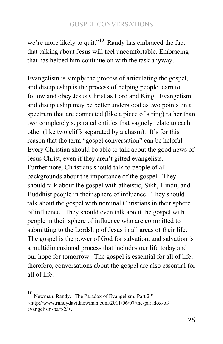we're more likely to quit."<sup>10</sup> Randy has embraced the fact that talking about Jesus will feel uncomfortable. Embracing that has helped him continue on with the task anyway.

Evangelism is simply the process of articulating the gospel, and discipleship is the process of helping people learn to follow and obey Jesus Christ as Lord and King. Evangelism and discipleship may be better understood as two points on a spectrum that are connected (like a piece of string) rather than two completely separated entities that vaguely relate to each other (like two cliffs separated by a chasm). It's for this reason that the term "gospel conversation" can be helpful. Every Christian should be able to talk about the good news of Jesus Christ, even if they aren't gifted evangelists. Furthermore, Christians should talk to people of all backgrounds about the importance of the gospel. They should talk about the gospel with atheistic, Sikh, Hindu, and Buddhist people in their sphere of influence. They should talk about the gospel with nominal Christians in their sphere of influence. They should even talk about the gospel with people in their sphere of influence who are committed to submitting to the Lordship of Jesus in all areas of their life. The gospel is the power of God for salvation, and salvation is a multidimensional process that includes our life today and our hope for tomorrow. The gospel is essential for all of life, therefore, conversations about the gospel are also essential for all of life.

<sup>&</sup>lt;sup>10</sup> Newman, Randy. "The Paradox of Evangelism, Part 2." <http://www.randydavidnewman.com/2011/06/07/the-paradox-ofevangelism-part-2/>.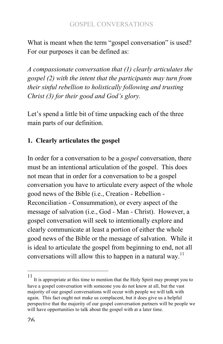What is meant when the term "gospel conversation" is used? For our purposes it can be defined as:

*A compassionate conversation that (1) clearly articulates the gospel (2) with the intent that the participants may turn from their sinful rebellion to holistically following and trusting Christ (3) for their good and God's glory.*

Let's spend a little bit of time unpacking each of the three main parts of our definition.

## **1. Clearly articulates the gospel**

In order for a conversation to be a *gospel* conversation, there must be an intentional articulation of the gospel. This does not mean that in order for a conversation to be a gospel conversation you have to articulate every aspect of the whole good news of the Bible (i.e., Creation - Rebellion - Reconciliation - Consummation), or every aspect of the message of salvation (i.e., God - Man - Christ). However, a gospel conversation will seek to intentionally explore and clearly communicate at least a portion of either the whole good news of the Bible or the message of salvation. While it is ideal to articulate the gospel from beginning to end, not all conversations will allow this to happen in a natural way.<sup>11</sup>

<sup>11&</sup>lt;br>It is appropriate at this time to mention that the Holy Spirit may prompt you to have a gospel conversation with someone you do not know at all, but the vast majority of our gospel conversations will occur with people we will talk with again. This fact ought not make us complacent, but it does give us a helpful perspective that the majority of our gospel conversation partners will be people we will have opportunities to talk about the gospel with at a later time.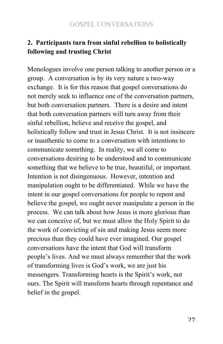## **2. Participants turn from sinful rebellion to holistically following and trusting Christ**

Monologues involve one person talking to another person or a group. A conversation is by its very nature a two-way exchange. It is for this reason that gospel conversations do not merely seek to influence one of the conversation partners, but both conversation partners. There is a desire and intent that both conversation partners will turn away from their sinful rebellion, believe and receive the gospel, and holistically follow and trust in Jesus Christ. It is not insincere or inauthentic to come to a conversation with intentions to communicate something. In reality, we all come to conversations desiring to be understood and to communicate something that we believe to be true, beautiful, or important. Intention is not disingenuous. However, intention and manipulation ought to be differentiated. While we have the intent in our gospel conversations for people to repent and believe the gospel, we ought never manipulate a person in the process. We can talk about how Jesus is more glorious than we can conceive of, but we must allow the Holy Spirit to do the work of convicting of sin and making Jesus seem more precious than they could have ever imagined. Our gospel conversations have the intent that God will transform people's lives. And we must always remember that the work of transforming lives is God's work, we are just his messengers. Transforming hearts is the Spirit's work, not ours. The Spirit will transform hearts through repentance and belief in the gospel.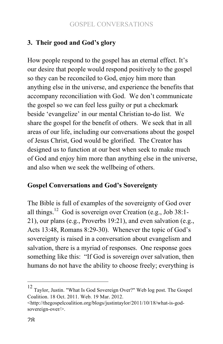## **3. Their good and God's glory**

How people respond to the gospel has an eternal effect. It's our desire that people would respond positively to the gospel so they can be reconciled to God, enjoy him more than anything else in the universe, and experience the benefits that accompany reconciliation with God. We don't communicate the gospel so we can feel less guilty or put a checkmark beside 'evangelize' in our mental Christian to-do list. We share the gospel for the benefit of others. We seek that in all areas of our life, including our conversations about the gospel of Jesus Christ, God would be glorified. The Creator has designed us to function at our best when seek to make much of God and enjoy him more than anything else in the universe, and also when we seek the wellbeing of others.

#### **Gospel Conversations and God's Sovereignty**

The Bible is full of examples of the sovereignty of God over all things.<sup>12</sup> God is sovereign over Creation (e.g., Job 38:1-21), our plans (e.g., Proverbs 19:21), and even salvation (e.g., Acts 13:48, Romans 8:29-30). Whenever the topic of God's sovereignty is raised in a conversation about evangelism and salvation, there is a myriad of responses. One response goes something like this: "If God is sovereign over salvation, then humans do not have the ability to choose freely; everything is

<sup>&</sup>lt;sup>12</sup> Taylor, Justin. "What Is God Sovereign Over?" Web log post. The Gospel Coalition. 18 Oct. 2011. Web. 19 Mar. 2012.

<sup>&</sup>lt;http://thegospelcoalition.org/blogs/justintaylor/2011/10/18/what-is-godsovereign-over/>.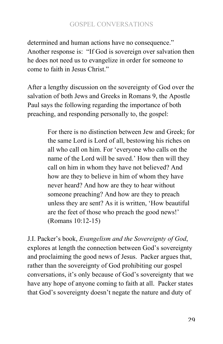determined and human actions have no consequence." Another response is: "If God is sovereign over salvation then he does not need us to evangelize in order for someone to come to faith in Jesus Christ."

After a lengthy discussion on the sovereignty of God over the salvation of both Jews and Greeks in Romans 9, the Apostle Paul says the following regarding the importance of both preaching, and responding personally to, the gospel:

> For there is no distinction between Jew and Greek; for the same Lord is Lord of all, bestowing his riches on all who call on him. For 'everyone who calls on the name of the Lord will be saved.' How then will they call on him in whom they have not believed? And how are they to believe in him of whom they have never heard? And how are they to hear without someone preaching? And how are they to preach unless they are sent? As it is written, 'How beautiful are the feet of those who preach the good news!' (Romans 10:12-15)

J.I. Packer's book, *Evangelism and the Sovereignty of God*, explores at length the connection between God's sovereignty and proclaiming the good news of Jesus. Packer argues that, rather than the sovereignty of God prohibiting our gospel conversations, it's only because of God's sovereignty that we have any hope of anyone coming to faith at all. Packer states that God's sovereignty doesn't negate the nature and duty of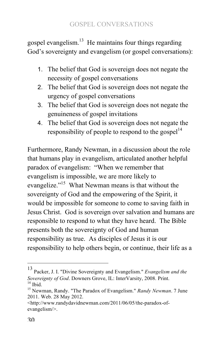gospel evangelism. $13$  He maintains four things regarding God's sovereignty and evangelism (or gospel conversations):

- 1. The belief that God is sovereign does not negate the necessity of gospel conversations
- 2. The belief that God is sovereign does not negate the urgency of gospel conversations
- 3. The belief that God is sovereign does not negate the genuineness of gospel invitations
- 4. The belief that God is sovereign does not negate the responsibility of people to respond to the gospel $14$

Furthermore, Randy Newman, in a discussion about the role that humans play in evangelism, articulated another helpful paradox of evangelism: "When we remember that evangelism is impossible, we are more likely to evangelize."<sup>15</sup> What Newman means is that without the sovereignty of God and the empowering of the Spirit, it would be impossible for someone to come to saving faith in Jesus Christ. God is sovereign over salvation and humans are responsible to respond to what they have heard. The Bible presents both the sovereignty of God and human responsibility as true. As disciples of Jesus it is our responsibility to help others begin, or continue, their life as a

<sup>&</sup>lt;sup>13</sup> Packer, J. I. "Divine Sovereignty and Evangelism." *Evangelism and the Sovereignty of God*. Downers Grove, IL: InterVarsity, 2008. Print. <sup>14</sup> Ibid. **Society of Gody. 12**<br><sup>15</sup> Newman, Randy. "The Paradox of Evangelism." *Randy Newman*. 7 June

<sup>2011.</sup> Web. 28 May 2012.

<sup>&</sup>lt;http://www.randydavidnewman.com/2011/06/05/the-paradox-ofevangelism/>.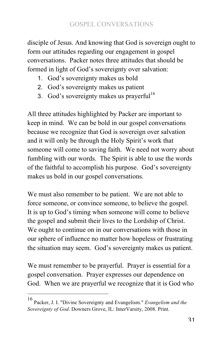disciple of Jesus. And knowing that God is sovereign ought to form our attitudes regarding our engagement in gospel conversations. Packer notes three attitudes that should be formed in light of God's sovereignty over salvation:

- 1. God's sovereignty makes us bold
- 2. God's sovereignty makes us patient
- 3. God's sovereignty makes us prayerful<sup>16</sup>

All three attitudes highlighted by Packer are important to keep in mind. We can be bold in our gospel conversations because we recognize that God is sovereign over salvation and it will only be through the Holy Spirit's work that someone will come to saving faith. We need not worry about fumbling with our words. The Spirit is able to use the words of the faithful to accomplish his purpose. God's sovereignty makes us bold in our gospel conversations.

We must also remember to be patient. We are not able to force someone, or convince someone, to believe the gospel. It is up to God's timing when someone will come to believe the gospel and submit their lives to the Lordship of Christ. We ought to continue on in our conversations with those in our sphere of influence no matter how hopeless or frustrating the situation may seem. God's sovereignty makes us patient.

We must remember to be prayerful. Prayer is essential for a gospel conversation. Prayer expresses our dependence on God. When we are prayerful we recognize that it is God who

Packer, J. I. "Divine Sovereignty and Evangelism." *Evangelism and the Sovereignty of God*. Downers Grove, IL: InterVarsity, 2008. Print.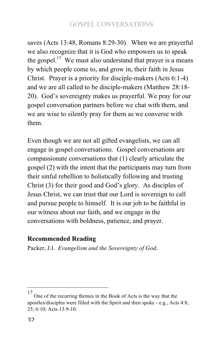saves (Acts 13:48, Romans 8:29-30). When we are prayerful we also recognize that it is God who empowers us to speak the gospel.<sup>17</sup> We must also understand that prayer is a means by which people come to, and grow in, their faith in Jesus Christ. Prayer is a priority for disciple-makers (Acts 6:1-4) and we are all called to be disciple-makers (Matthew 28:18- 20). God's sovereignty makes us prayerful. We pray for our gospel conversation partners before we chat with them, and we are wise to silently pray for them as we converse with them.

Even though we are not all gifted evangelists, we can all engage in gospel conversations. Gospel conversations are compassionate conversations that (1) clearly articulate the gospel (2) with the intent that the participants may turn from their sinful rebellion to holistically following and trusting Christ (3) for their good and God's glory. As disciples of Jesus Christ, we can trust that our Lord is sovereign to call and pursue people to himself. It is our job to be faithful in our witness about our faith, and we engage in the conversations with boldness, patience, and prayer.

## **Recommended Reading**

Packer, J.I. *Evangelism and the Sovereignty of God*.

 $17$  One of the recurring themes in the Book of Acts is the way that the apostles/disciples were filled with the Spirit and then spoke - e.g., Acts 4:8, 25; 6:10; Acts 13:9-10.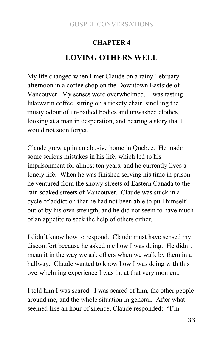## **CHAPTER 4**

## **LOVING OTHERS WELL**

My life changed when I met Claude on a rainy February afternoon in a coffee shop on the Downtown Eastside of Vancouver. My senses were overwhelmed. I was tasting lukewarm coffee, sitting on a rickety chair, smelling the musty odour of un-bathed bodies and unwashed clothes, looking at a man in desperation, and hearing a story that I would not soon forget.

Claude grew up in an abusive home in Quebec. He made some serious mistakes in his life, which led to his imprisonment for almost ten years, and he currently lives a lonely life. When he was finished serving his time in prison he ventured from the snowy streets of Eastern Canada to the rain soaked streets of Vancouver. Claude was stuck in a cycle of addiction that he had not been able to pull himself out of by his own strength, and he did not seem to have much of an appetite to seek the help of others either.

I didn't know how to respond. Claude must have sensed my discomfort because he asked me how I was doing. He didn't mean it in the way we ask others when we walk by them in a hallway. Claude wanted to know how I was doing with this overwhelming experience I was in, at that very moment.

I told him I was scared. I was scared of him, the other people around me, and the whole situation in general. After what seemed like an hour of silence, Claude responded: "I'm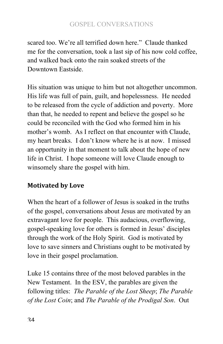scared too. We're all terrified down here." Claude thanked me for the conversation, took a last sip of his now cold coffee, and walked back onto the rain soaked streets of the Downtown Eastside.

His situation was unique to him but not altogether uncommon. His life was full of pain, guilt, and hopelessness. He needed to be released from the cycle of addiction and poverty. More than that, he needed to repent and believe the gospel so he could be reconciled with the God who formed him in his mother's womb. As I reflect on that encounter with Claude, my heart breaks. I don't know where he is at now. I missed an opportunity in that moment to talk about the hope of new life in Christ. I hope someone will love Claude enough to winsomely share the gospel with him.

## **Motivated by Love**

When the heart of a follower of Jesus is soaked in the truths of the gospel, conversations about Jesus are motivated by an extravagant love for people. This audacious, overflowing, gospel-speaking love for others is formed in Jesus' disciples through the work of the Holy Spirit. God is motivated by love to save sinners and Christians ought to be motivated by love in their gospel proclamation.

Luke 15 contains three of the most beloved parables in the New Testament. In the ESV, the parables are given the following titles: *The Parable of the Lost Sheep*; *The Parable of the Lost Coin*; and *The Parable of the Prodigal Son*. Out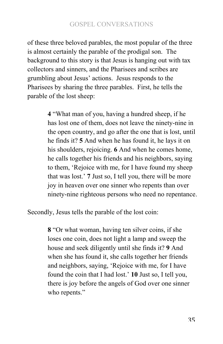of these three beloved parables, the most popular of the three is almost certainly the parable of the prodigal son. The background to this story is that Jesus is hanging out with tax collectors and sinners, and the Pharisees and scribes are grumbling about Jesus' actions. Jesus responds to the Pharisees by sharing the three parables. First, he tells the parable of the lost sheep:

> **4** "What man of you, having a hundred sheep, if he has lost one of them, does not leave the ninety-nine in the open country, and go after the one that is lost, until he finds it? **5** And when he has found it, he lays it on his shoulders, rejoicing. **6** And when he comes home, he calls together his friends and his neighbors, saying to them, 'Rejoice with me, for I have found my sheep that was lost.' **7** Just so, I tell you, there will be more joy in heaven over one sinner who repents than over ninety-nine righteous persons who need no repentance.

Secondly, Jesus tells the parable of the lost coin:

**8** "Or what woman, having ten silver coins, if she loses one coin, does not light a lamp and sweep the house and seek diligently until she finds it? **9** And when she has found it, she calls together her friends and neighbors, saying, 'Rejoice with me, for I have found the coin that I had lost.' **10** Just so, I tell you, there is joy before the angels of God over one sinner who repents."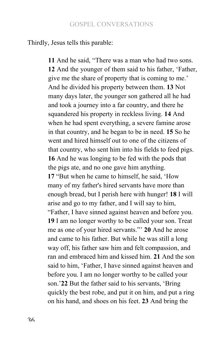Thirdly, Jesus tells this parable:

**11** And he said, "There was a man who had two sons. **12** And the younger of them said to his father, 'Father, give me the share of property that is coming to me.' And he divided his property between them. **13** Not many days later, the younger son gathered all he had and took a journey into a far country, and there he squandered his property in reckless living. **14** And when he had spent everything, a severe famine arose in that country, and he began to be in need. **15** So he went and hired himself out to one of the citizens of that country, who sent him into his fields to feed pigs. **16** And he was longing to be fed with the pods that the pigs ate, and no one gave him anything. **17** "But when he came to himself, he said, 'How many of my father's hired servants have more than enough bread, but I perish here with hunger! **18** I will arise and go to my father, and I will say to him, "Father, I have sinned against heaven and before you. **19** I am no longer worthy to be called your son. Treat me as one of your hired servants."' **20** And he arose and came to his father. But while he was still a long way off, his father saw him and felt compassion, and ran and embraced him and kissed him. **21** And the son said to him, 'Father, I have sinned against heaven and before you. I am no longer worthy to be called your son.'**22** But the father said to his servants, 'Bring quickly the best robe, and put it on him, and put a ring on his hand, and shoes on his feet. **23** And bring the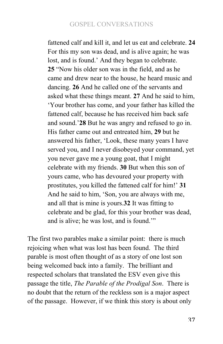fattened calf and kill it, and let us eat and celebrate. **24**  For this my son was dead, and is alive again; he was lost, and is found.' And they began to celebrate. **25** "Now his older son was in the field, and as he came and drew near to the house, he heard music and dancing. **26** And he called one of the servants and asked what these things meant. **27** And he said to him, 'Your brother has come, and your father has killed the fattened calf, because he has received him back safe and sound.'**28** But he was angry and refused to go in. His father came out and entreated him, **29** but he answered his father, 'Look, these many years I have served you, and I never disobeyed your command, yet you never gave me a young goat, that I might celebrate with my friends. **30** But when this son of yours came, who has devoured your property with prostitutes, you killed the fattened calf for him!' **31**  And he said to him, 'Son, you are always with me, and all that is mine is yours.**32** It was fitting to celebrate and be glad, for this your brother was dead, and is alive; he was lost, and is found.'"

The first two parables make a similar point: there is much rejoicing when what was lost has been found. The third parable is most often thought of as a story of one lost son being welcomed back into a family. The brilliant and respected scholars that translated the ESV even give this passage the title, *The Parable of the Prodigal Son*. There is no doubt that the return of the reckless son is a major aspect of the passage. However, if we think this story is about only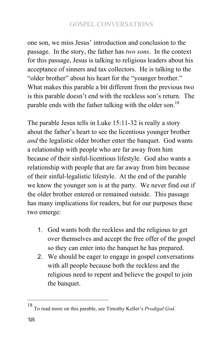one son, we miss Jesus' introduction and conclusion to the passage. In the story, the father has *two sons*. In the context for this passage, Jesus is talking to religious leaders about his acceptance of sinners and tax collectors. He is talking to the "older brother" about his heart for the "younger brother." What makes this parable a bit different from the previous two is this parable doesn't end with the reckless son's return. The parable ends with the father talking with the older son.<sup>18</sup>

The parable Jesus tells in Luke 15:11-32 is really a story about the father's heart to see the licentious younger brother *and* the legalistic older brother enter the banquet. God wants a relationship with people who are far away from him because of their sinful-licentious lifestyle. God also wants a relationship with people that are far away from him because of their sinful-legalistic lifestyle. At the end of the parable we know the younger son is at the party. We never find out if the older brother entered or remained outside. This passage has many implications for readers, but for our purposes these two emerge:

- 1. God wants both the reckless and the religious to get over themselves and accept the free offer of the gospel so they can enter into the banquet he has prepared.
- 2. We should be eager to engage in gospel conversations with all people because both the reckless and the religious need to repent and believe the gospel to join the banquet.

<sup>&</sup>lt;sup>18</sup> To read more on this parable, see Timothy Keller's *Prodigal God*.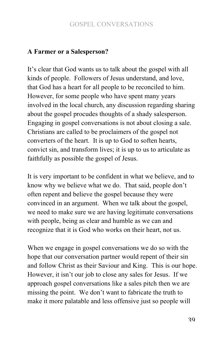#### **A Farmer or a Salesperson?**

It's clear that God wants us to talk about the gospel with all kinds of people. Followers of Jesus understand, and love, that God has a heart for all people to be reconciled to him. However, for some people who have spent many years involved in the local church, any discussion regarding sharing about the gospel procudes thoughts of a shady salesperson. Engaging in gospel conversations is not about closing a sale. Christians are called to be proclaimers of the gospel not converters of the heart. It is up to God to soften hearts, convict sin, and transform lives; it is up to us to articulate as faithfully as possible the gospel of Jesus.

It is very important to be confident in what we believe, and to know why we believe what we do. That said, people don't often repent and believe the gospel because they were convinced in an argument. When we talk about the gospel, we need to make sure we are having legitimate conversations with people, being as clear and humble as we can and recognize that it is God who works on their heart, not us.

When we engage in gospel conversations we do so with the hope that our conversation partner would repent of their sin and follow Christ as their Saviour and King. This is our hope. However, it isn't our job to close any sales for Jesus. If we approach gospel conversations like a sales pitch then we are missing the point. We don't want to fabricate the truth to make it more palatable and less offensive just so people will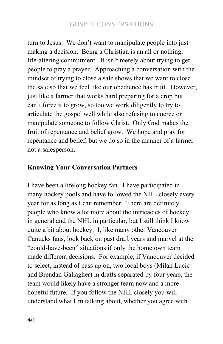turn to Jesus. We don't want to manipulate people into just making a decision. Being a Christian is an all or nothing, life-altering commitment. It isn't merely about trying to get people to pray a prayer. Approaching a conversation with the mindset of trying to close a sale shows that we want to close the sale so that we feel like our obedience has fruit. However, just like a farmer that works hard preparing for a crop but can't force it to grow, so too we work diligently to try to articulate the gospel well while also refusing to coerce or manipulate someone to follow Christ. Only God makes the fruit of repentance and belief grow. We hope and pray for repentance and belief, but we do so in the manner of a farmer not a salesperson.

#### **Knowing Your Conversation Partners**

I have been a lifelong hockey fan. I have participated in many hockey pools and have followed the NHL closely every year for as long as I can remember. There are definitely people who know a lot more about the intricacies of hockey in general and the NHL in particular, but I still think I know quite a bit about hockey. I, like many other Vancouver Canucks fans, look back on past draft years and marvel at the "could-have-been" situations if only the hometown team made different decisions. For example, if Vancouver decided to select, instead of pass up on, two local boys (Milan Lucic and Brendan Gallagher) in drafts separated by four years, the team would likely have a stronger team now and a more hopeful future. If you follow the NHL closely you will understand what I'm talking about, whether you agree with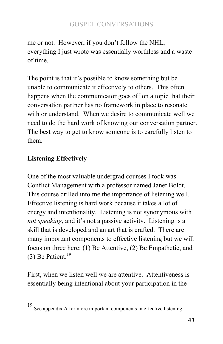me or not. However, if you don't follow the NHL, everything I just wrote was essentially worthless and a waste of time.

The point is that it's possible to know something but be unable to communicate it effectively to others. This often happens when the communicator goes off on a topic that their conversation partner has no framework in place to resonate with or understand. When we desire to communicate well we need to do the hard work of knowing our conversation partner. The best way to get to know someone is to carefully listen to them.

# **Listening Effectively**

One of the most valuable undergrad courses I took was Conflict Management with a professor named Janet Boldt. This course drilled into me the importance of listening well. Effective listening is hard work because it takes a lot of energy and intentionality. Listening is not synonymous with *not speaking*, and it's not a passive activity. Listening is a skill that is developed and an art that is crafted. There are many important components to effective listening but we will focus on three here: (1) Be Attentive, (2) Be Empathetic, and (3) Be Patient.<sup>19</sup>

First, when we listen well we are attentive. Attentiveness is essentially being intentional about your participation in the

<sup>&</sup>lt;sup>19</sup> See appendix A for more important components in effective listening.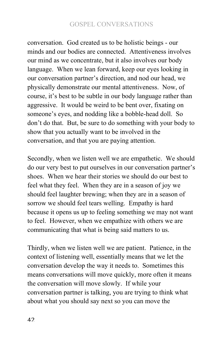conversation. God created us to be holistic beings - our minds and our bodies are connected. Attentiveness involves our mind as we concentrate, but it also involves our body language. When we lean forward, keep our eyes looking in our conversation partner's direction, and nod our head, we physically demonstrate our mental attentiveness. Now, of course, it's best to be subtle in our body language rather than aggressive. It would be weird to be bent over, fixating on someone's eyes, and nodding like a bobble-head doll. So don't do that. But, be sure to do something with your body to show that you actually want to be involved in the conversation, and that you are paying attention.

Secondly, when we listen well we are empathetic. We should do our very best to put ourselves in our conversation partner's shoes. When we hear their stories we should do our best to feel what they feel. When they are in a season of joy we should feel laughter brewing; when they are in a season of sorrow we should feel tears welling. Empathy is hard because it opens us up to feeling something we may not want to feel. However, when we empathize with others we are communicating that what is being said matters to us.

Thirdly, when we listen well we are patient. Patience, in the context of listening well, essentially means that we let the conversation develop the way it needs to. Sometimes this means conversations will move quickly, more often it means the conversation will move slowly. If while your conversation partner is talking, you are trying to think what about what you should say next so you can move the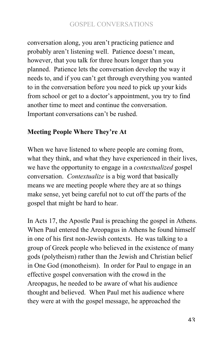conversation along, you aren't practicing patience and probably aren't listening well. Patience doesn't mean, however, that you talk for three hours longer than you planned. Patience lets the conversation develop the way it needs to, and if you can't get through everything you wanted to in the conversation before you need to pick up your kids from school or get to a doctor's appointment, you try to find another time to meet and continue the conversation. Important conversations can't be rushed.

#### **Meeting People Where They're At**

When we have listened to where people are coming from, what they think, and what they have experienced in their lives, we have the opportunity to engage in a *contextualized* gospel conversation. *Contextualize* is a big word that basically means we are meeting people where they are at so things make sense, yet being careful not to cut off the parts of the gospel that might be hard to hear.

In Acts 17, the Apostle Paul is preaching the gospel in Athens. When Paul entered the Areopagus in Athens he found himself in one of his first non-Jewish contexts. He was talking to a group of Greek people who believed in the existence of many gods (polytheism) rather than the Jewish and Christian belief in One God (monotheism). In order for Paul to engage in an effective gospel conversation with the crowd in the Areopagus, he needed to be aware of what his audience thought and believed. When Paul met his audience where they were at with the gospel message, he approached the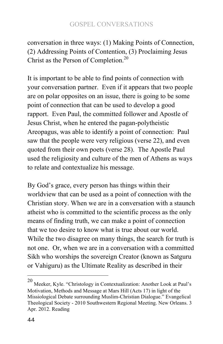conversation in three ways: (1) Making Points of Connection, (2) Addressing Points of Contention, (3) Proclaiming Jesus Christ as the Person of Completion.<sup>20</sup>

It is important to be able to find points of connection with your conversation partner. Even if it appears that two people are on polar opposites on an issue, there is going to be some point of connection that can be used to develop a good rapport. Even Paul, the committed follower and Apostle of Jesus Christ, when he entered the pagan-polytheistic Areopagus, was able to identify a point of connection: Paul saw that the people were very religious (verse 22), and even quoted from their own poets (verse 28). The Apostle Paul used the religiosity and culture of the men of Athens as ways to relate and contextualize his message.

By God's grace, every person has things within their worldview that can be used as a point of connection with the Christian story. When we are in a conversation with a staunch atheist who is committed to the scientific process as the only means of finding truth, we can make a point of connection that we too desire to know what is true about our world. While the two disagree on many things, the search for truth is not one. Or, when we are in a conversation with a committed Sikh who worships the sovereign Creator (known as Satguru or Vahiguru) as the Ultimate Reality as described in their

<sup>20</sup> Meeker, Kyle. "Christology in Contextualization: Another Look at Paul's Motivation, Methods and Message at Mars Hill (Acts 17) in light of the Missiological Debate surrounding Muslim-Christian Dialogue." Evangelical Theological Society - 2010 Southwestern Regional Meeting. New Orleans. 3 Apr. 2012. Reading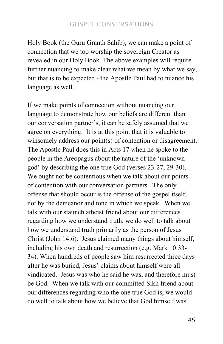Holy Book (the Guru Granth Sahib), we can make a point of connection that we too worship the sovereign Creator as revealed in our Holy Book. The above examples will require further nuancing to make clear what we mean by what we say, but that is to be expected - the Apostle Paul had to nuance his language as well.

If we make points of connection without nuancing our language to demonstrate how our beliefs are different than our conversation partner's, it can be safely assumed that we agree on everything. It is at this point that it is valuable to winsomely address our point(s) of contention or disagreement. The Apostle Paul does this in Acts 17 when he spoke to the people in the Areopagus about the nature of the 'unknown god' by describing the one true God (verses 23-27, 29-30). We ought not be contentious when we talk about our points of contention with our conversation partners. The only offense that should occur is the offense of the gospel itself, not by the demeanor and tone in which we speak. When we talk with our staunch atheist friend about our differences regarding how we understand truth, we do well to talk about how we understand truth primarily as the person of Jesus Christ (John 14:6). Jesus claimed many things about himself, including his own death and resurrection (e.g. Mark 10:33- 34). When hundreds of people saw him resurrected three days after he was buried, Jesus' claims about himself were all vindicated. Jesus was who he said he was, and therefore must be God. When we talk with our committed Sikh friend about our differences regarding who the one true God is, we would do well to talk about how we believe that God himself was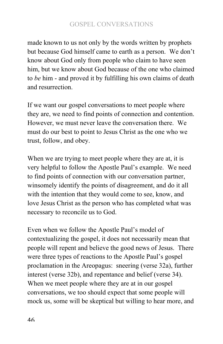made known to us not only by the words written by prophets but because God himself came to earth as a person. We don't know about God only from people who claim to have seen him, but we know about God because of the one who claimed to *be* him - and proved it by fulfilling his own claims of death and resurrection.

If we want our gospel conversations to meet people where they are, we need to find points of connection and contention. However, we must never leave the conversation there. We must do our best to point to Jesus Christ as the one who we trust, follow, and obey.

When we are trying to meet people where they are at, it is very helpful to follow the Apostle Paul's example. We need to find points of connection with our conversation partner, winsomely identify the points of disagreement, and do it all with the intention that they would come to see, know, and love Jesus Christ as the person who has completed what was necessary to reconcile us to God.

Even when we follow the Apostle Paul's model of contextualizing the gospel, it does not necessarily mean that people will repent and believe the good news of Jesus. There were three types of reactions to the Apostle Paul's gospel proclamation in the Areopagus: sneering (verse 32a), further interest (verse 32b), and repentance and belief (verse 34). When we meet people where they are at in our gospel conversations, we too should expect that some people will mock us, some will be skeptical but willing to hear more, and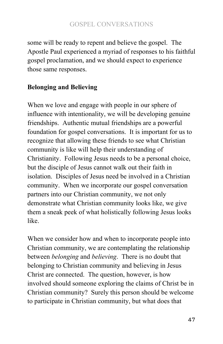some will be ready to repent and believe the gospel. The Apostle Paul experienced a myriad of responses to his faithful gospel proclamation, and we should expect to experience those same responses.

# **Belonging and Believing**

When we love and engage with people in our sphere of influence with intentionality, we will be developing genuine friendships. Authentic mutual friendships are a powerful foundation for gospel conversations. It is important for us to recognize that allowing these friends to see what Christian community is like will help their understanding of Christianity. Following Jesus needs to be a personal choice, but the disciple of Jesus cannot walk out their faith in isolation. Disciples of Jesus need be involved in a Christian community. When we incorporate our gospel conversation partners into our Christian community, we not only demonstrate what Christian community looks like, we give them a sneak peek of what holistically following Jesus looks like.

When we consider how and when to incorporate people into Christian community, we are contemplating the relationship between *belonging* and *believing*. There is no doubt that belonging to Christian community and believing in Jesus Christ are connected. The question, however, is how involved should someone exploring the claims of Christ be in Christian community? Surely this person should be welcome to participate in Christian community, but what does that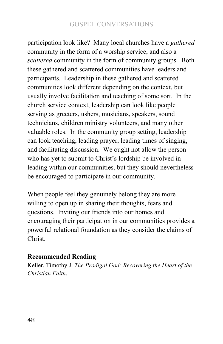participation look like? Many local churches have a *gathered* community in the form of a worship service, and also a *scattered* community in the form of community groups. Both these gathered and scattered communities have leaders and participants. Leadership in these gathered and scattered communities look different depending on the context, but usually involve facilitation and teaching of some sort. In the church service context, leadership can look like people serving as greeters, ushers, musicians, speakers, sound technicians, children ministry volunteers, and many other valuable roles. In the community group setting, leadership can look teaching, leading prayer, leading times of singing, and facilitating discussion. We ought not allow the person who has yet to submit to Christ's lordship be involved in leading within our communities, but they should nevertheless be encouraged to participate in our community.

When people feel they genuinely belong they are more willing to open up in sharing their thoughts, fears and questions. Inviting our friends into our homes and encouraging their participation in our communities provides a powerful relational foundation as they consider the claims of Christ.

#### **Recommended Reading**

Keller, Timothy J. *The Prodigal God: Recovering the Heart of the Christian Faith*.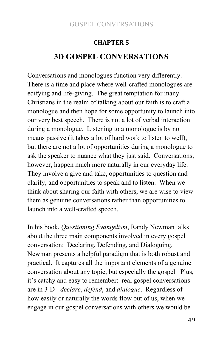# **CHAPTER<sub>5</sub> 3D GOSPEL CONVERSATIONS**

Conversations and monologues function very differently. There is a time and place where well-crafted monologues are edifying and life-giving. The great temptation for many Christians in the realm of talking about our faith is to craft a monologue and then hope for some opportunity to launch into our very best speech. There is not a lot of verbal interaction during a monologue. Listening to a monologue is by no means passive (it takes a lot of hard work to listen to well), but there are not a lot of opportunities during a monologue to ask the speaker to nuance what they just said. Conversations, however, happen much more naturally in our everyday life. They involve a give and take, opportunities to question and clarify, and opportunities to speak and to listen. When we think about sharing our faith with others, we are wise to view them as genuine conversations rather than opportunities to launch into a well-crafted speech.

In his book, *Questioning Evangelism*, Randy Newman talks about the three main components involved in every gospel conversation: Declaring, Defending, and Dialoguing. Newman presents a helpful paradigm that is both robust and practical. It captures all the important elements of a genuine conversation about any topic, but especially the gospel. Plus, it's catchy and easy to remember: real gospel conversations are in 3-D - *declare*, *defend*, and *dialogue*. Regardless of how easily or naturally the words flow out of us, when we engage in our gospel conversations with others we would be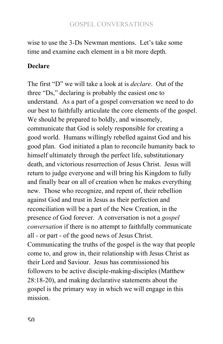wise to use the 3-Ds Newman mentions. Let's take some time and examine each element in a bit more depth.

# **Declare**

The first "D" we will take a look at is *declare*. Out of the three "Ds," declaring is probably the easiest one to understand. As a part of a gospel conversation we need to do our best to faithfully articulate the core elements of the gospel. We should be prepared to boldly, and winsomely, communicate that God is solely responsible for creating a good world. Humans willingly rebelled against God and his good plan. God initiated a plan to reconcile humanity back to himself ultimately through the perfect life, substitutionary death, and victorious resurrection of Jesus Christ. Jesus will return to judge everyone and will bring his Kingdom to fully and finally bear on all of creation when he makes everything new. Those who recognize, and repent of, their rebellion against God and trust in Jesus as their perfection and reconciliation will be a part of the New Creation, in the presence of God forever. A conversation is not a *gospel conversation* if there is no attempt to faithfully communicate all - or part - of the good news of Jesus Christ. Communicating the truths of the gospel is the way that people come to, and grow in, their relationship with Jesus Christ as their Lord and Saviour. Jesus has commissioned his followers to be active disciple-making-disciples (Matthew 28:18-20), and making declarative statements about the gospel is the primary way in which we will engage in this mission.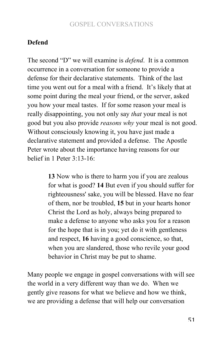# **Defend**

The second "D" we will examine is *defend*. It is a common occurrence in a conversation for someone to provide a defense for their declarative statements. Think of the last time you went out for a meal with a friend. It's likely that at some point during the meal your friend, or the server, asked you how your meal tastes. If for some reason your meal is really disappointing, you not only say *that* your meal is not good but you also provide *reasons why* your meal is not good. Without consciously knowing it, you have just made a declarative statement and provided a defense. The Apostle Peter wrote about the importance having reasons for our belief in 1 Peter 3:13-16:

> **13** Now who is there to harm you if you are zealous for what is good? **14** But even if you should suffer for righteousness' sake, you will be blessed. Have no fear of them, nor be troubled, **15** but in your hearts honor Christ the Lord as holy, always being prepared to make a defense to anyone who asks you for a reason for the hope that is in you; yet do it with gentleness and respect, **16** having a good conscience, so that, when you are slandered, those who revile your good behavior in Christ may be put to shame.

Many people we engage in gospel conversations with will see the world in a very different way than we do. When we gently give reasons for what we believe and how we think, we are providing a defense that will help our conversation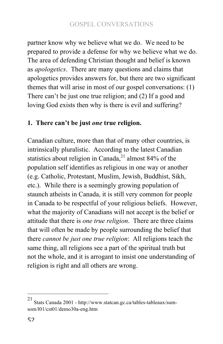partner know why we believe what we do. We need to be prepared to provide a defense for why we believe what we do. The area of defending Christian thought and belief is known as *apologetics*. There are many questions and claims that apologetics provides answers for, but there are two significant themes that will arise in most of our gospel conversations: (1) There can't be just one true religion; and (2) If a good and loving God exists then why is there is evil and suffering?

# **1. There can't be just** *one* **true religion.**

Canadian culture, more than that of many other countries, is intrinsically pluralistic. According to the latest Canadian statistics about religion in Canada,<sup>21</sup> almost 84% of the population self identifies as religious in one way or another (e.g. Catholic, Protestant, Muslim, Jewish, Buddhist, Sikh, etc.). While there is a seemingly growing population of staunch atheists in Canada, it is still very common for people in Canada to be respectful of your religious beliefs. However, what the majority of Canadians will not accept is the belief or attitude that there is *one true religion*. There are three claims that will often be made by people surrounding the belief that there *cannot be just one true religion*: All religions teach the same thing, all religions see a part of the spiritual truth but not the whole, and it is arrogant to insist one understanding of religion is right and all others are wrong.

<sup>21</sup> Stats Canada 2001 - http://www.statcan.gc.ca/tables-tableaux/sumsom/l01/cst01/demo30a-eng.htm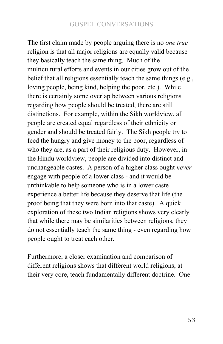The first claim made by people arguing there is no *one true*  religion is that all major religions are equally valid because they basically teach the same thing. Much of the multicultural efforts and events in our cities grow out of the belief that all religions essentially teach the same things (e.g., loving people, being kind, helping the poor, etc.). While there is certainly some overlap between various religions regarding how people should be treated, there are still distinctions. For example, within the Sikh worldview, all people are created equal regardless of their ethnicity or gender and should be treated fairly. The Sikh people try to feed the hungry and give money to the poor, regardless of who they are, as a part of their religious duty. However, in the Hindu worldview, people are divided into distinct and unchangeable castes. A person of a higher class ought *never*  engage with people of a lower class - and it would be unthinkable to help someone who is in a lower caste experience a better life because they deserve that life (the proof being that they were born into that caste). A quick exploration of these two Indian religions shows very clearly that while there may be similarities between religions, they do not essentially teach the same thing - even regarding how people ought to treat each other.

Furthermore, a closer examination and comparison of different religions shows that different world religions, at their very core, teach fundamentally different doctrine. One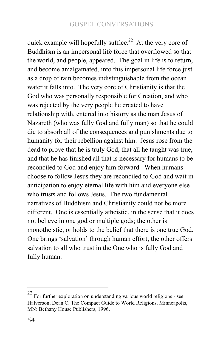quick example will hopefully suffice.<sup>22</sup> At the very core of Buddhism is an impersonal life force that overflowed so that the world, and people, appeared. The goal in life is to return, and become amalgamated, into this impersonal life force just as a drop of rain becomes indistinguishable from the ocean water it falls into. The very core of Christianity is that the God who was personally responsible for Creation, and who was rejected by the very people he created to have relationship with, entered into history as the man Jesus of Nazareth (who was fully God and fully man) so that he could die to absorb all of the consequences and punishments due to humanity for their rebellion against him. Jesus rose from the dead to prove that he is truly God, that all he taught was true, and that he has finished all that is necessary for humans to be reconciled to God and enjoy him forward. When humans choose to follow Jesus they are reconciled to God and wait in anticipation to enjoy eternal life with him and everyone else who trusts and follows Jesus. The two fundamental narratives of Buddhism and Christianity could not be more different. One is essentially atheistic, in the sense that it does not believe in one god or multiple gods; the other is monotheistic, or holds to the belief that there is one true God. One brings 'salvation' through human effort; the other offers salvation to all who trust in the One who is fully God and fully human.

 $22$  For further exploration on understanding various world religions - see Halverson, Dean C. The Compact Guide to World Religions. Minneapolis, MN: Bethany House Publishers, 1996.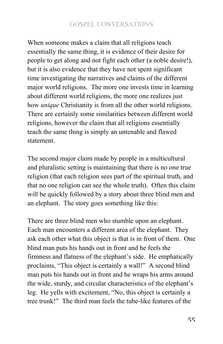When someone makes a claim that all religions teach essentially the same thing, it is evidence of their desire for people to get along and not fight each other (a noble desire!), but it is also evidence that they have not spent significant time investigating the narratives and claims of the different major world religions. The more one invests time in learning about different world religions, the more one realizes just how *unique* Christianity is from all the other world religions. There are certainly some similarities between different world religions, however the claim that all religions essentially teach the same thing is simply an untenable and flawed statement.

The second major claim made by people in a multicultural and pluralistic setting is maintaining that there is no one true religion (that each religion sees part of the spiritual truth, and that no one religion can see the whole truth). Often this claim will be quickly followed by a story about three blind men and an elephant. The story goes something like this:

There are three blind men who stumble upon an elephant. Each man encounters a different area of the elephant. They ask each other what this object is that is in front of them. One blind man puts his hands out in front and he feels the firmness and flatness of the elephant's side. He emphatically proclaims, "This object is certainly a wall!" A second blind man puts his hands out in front and he wraps his arms around the wide, sturdy, and circular characteristics of the elephant's leg. He yells with excitement, "No, this object is certainly a tree trunk!" The third man feels the tube-like features of the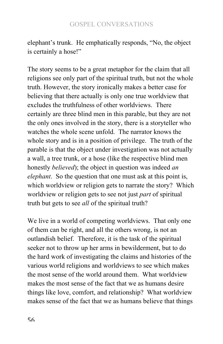elephant's trunk. He emphatically responds, "No, the object is certainly a hose!"

The story seems to be a great metaphor for the claim that all religions see only part of the spiritual truth, but not the whole truth. However, the story ironically makes a better case for believing that there actually is only one true worldview that excludes the truthfulness of other worldviews. There certainly are three blind men in this parable, but they are not the only ones involved in the story, there is a storyteller who watches the whole scene unfold. The narrator knows the whole story and is in a position of privilege. The truth of the parable is that the object under investigation was not actually a wall, a tree trunk, or a hose (like the respective blind men honestly *believed*); the object in question was indeed *an elephant*. So the question that one must ask at this point is, which worldview or religion gets to narrate the story? Which worldview or religion gets to see not just *part* of spiritual truth but gets to see *all* of the spiritual truth?

We live in a world of competing worldviews. That only one of them can be right, and all the others wrong, is not an outlandish belief. Therefore, it is the task of the spiritual seeker not to throw up her arms in bewilderment, but to do the hard work of investigating the claims and histories of the various world religions and worldviews to see which makes the most sense of the world around them. What worldview makes the most sense of the fact that we as humans desire things like love, comfort, and relationship? What worldview makes sense of the fact that we as humans believe that things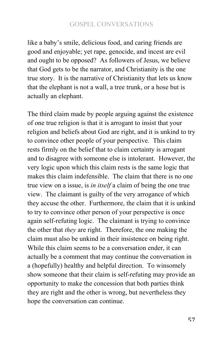like a baby's smile, delicious food, and caring friends are good and enjoyable; yet rape, genocide, and incest are evil and ought to be opposed? As followers of Jesus, we believe that God gets to be the narrator, and Christianity is the one true story. It is the narrative of Christianity that lets us know that the elephant is not a wall, a tree trunk, or a hose but is actually an elephant.

The third claim made by people arguing against the existence of one true religion is that it is arrogant to insist that your religion and beliefs about God are right, and it is unkind to try to convince other people of your perspective. This claim rests firmly on the belief that to claim certainty is arrogant and to disagree with someone else is intolerant. However, the very logic upon which this claim rests is the same logic that makes this claim indefensible. The claim that there is no one true view on a issue, is *in itself* a claim of being the one true view. The claimant is guilty of the very arrogance of which they accuse the other. Furthermore, the claim that it is unkind to try to convince other person of your perspective is once again self-refuting logic. The claimant is trying to convince the other that *they* are right. Therefore, the one making the claim must also be unkind in their insistence on being right. While this claim seems to be a conversation ender, it can actually be a comment that may continue the conversation in a (hopefully) healthy and helpful direction. To winsomely show someone that their claim is self-refuting may provide an opportunity to make the concession that both parties think they are right and the other is wrong, but nevertheless they hope the conversation can continue.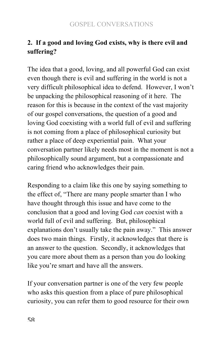# **2. If a good and loving God exists, why is there evil and suffering?**

The idea that a good, loving, and all powerful God can exist even though there is evil and suffering in the world is not a very difficult philosophical idea to defend. However, I won't be unpacking the philosophical reasoning of it here. The reason for this is because in the context of the vast majority of our gospel conversations, the question of a good and loving God coexisting with a world full of evil and suffering is not coming from a place of philosophical curiosity but rather a place of deep experiential pain. What your conversation partner likely needs most in the moment is not a philosophically sound argument, but a compassionate and caring friend who acknowledges their pain.

Responding to a claim like this one by saying something to the effect of, "There are many people smarter than I who have thought through this issue and have come to the conclusion that a good and loving God *can* coexist with a world full of evil and suffering. But, philosophical explanations don't usually take the pain away." This answer does two main things. Firstly, it acknowledges that there is an answer to the question. Secondly, it acknowledges that you care more about them as a person than you do looking like you're smart and have all the answers.

If your conversation partner is one of the very few people who asks this question from a place of pure philosophical curiosity, you can refer them to good resource for their own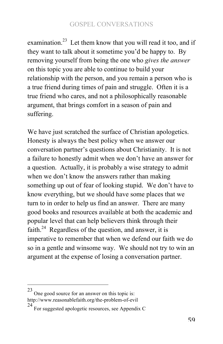examination.<sup>23</sup> Let them know that you will read it too, and if they want to talk about it sometime you'd be happy to. By removing yourself from being the one who *gives the answer* on this topic you are able to continue to build your relationship with the person, and you remain a person who is a true friend during times of pain and struggle. Often it is a true friend who cares, and not a philosophically reasonable argument, that brings comfort in a season of pain and suffering.

We have just scratched the surface of Christian apologetics. Honesty is always the best policy when we answer our conversation partner's questions about Christianity. It is not a failure to honestly admit when we don't have an answer for a question. Actually, it is probably a wise strategy to admit when we don't know the answers rather than making something up out of fear of looking stupid. We don't have to know everything, but we should have some places that we turn to in order to help us find an answer. There are many good books and resources available at both the academic and popular level that can help believers think through their faith.<sup>24</sup> Regardless of the question, and answer, it is imperative to remember that when we defend our faith we do so in a gentle and winsome way. We should not try to win an argument at the expense of losing a conversation partner.

 $23$  One good source for an answer on this topic is: http://www.reasonablefaith.org/the-problem-of-evil

<sup>24</sup> For suggested apologetic resources, see Appendix C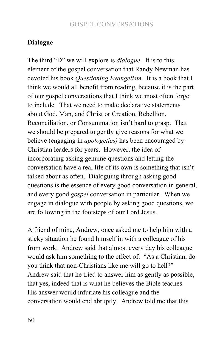#### **Dialogue**

The third "D" we will explore is *dialogue*. It is to this element of the gospel conversation that Randy Newman has devoted his book *Questioning Evangelism*. It is a book that I think we would all benefit from reading, because it is the part of our gospel conversations that I think we most often forget to include. That we need to make declarative statements about God, Man, and Christ or Creation, Rebellion, Reconciliation, or Consummation isn't hard to grasp. That we should be prepared to gently give reasons for what we believe (engaging in *apologetics)* has been encouraged by Christian leaders for years. However, the idea of incorporating asking genuine questions and letting the conversation have a real life of its own is something that isn't talked about as often. Dialoguing through asking good questions is the essence of every good conversation in general, and every good *gospel* conversation in particular. When we engage in dialogue with people by asking good questions, we are following in the footsteps of our Lord Jesus.

A friend of mine, Andrew, once asked me to help him with a sticky situation he found himself in with a colleague of his from work. Andrew said that almost every day his colleague would ask him something to the effect of: "As a Christian, do you think that non-Christians like me will go to hell?" Andrew said that he tried to answer him as gently as possible, that yes, indeed that is what he believes the Bible teaches. His answer would infuriate his colleague and the conversation would end abruptly. Andrew told me that this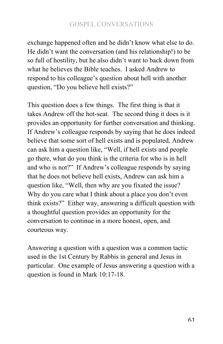exchange happened often and he didn't know what else to do. He didn't want the conversation (and his relationship!) to be so full of hostility, but he also didn't want to back down from what he believes the Bible teaches. I asked Andrew to respond to his colleague's question about hell with another question, "Do you believe hell exists?"

This question does a few things. The first thing is that it takes Andrew off the hot-seat. The second thing it does is it provides an opportunity for further conversation and thinking. If Andrew's colleague responds by saying that he does indeed believe that some sort of hell exists and is populated, Andrew can ask him a question like, "Well, if hell exists and people go there, what do you think is the criteria for who is in hell and who is not?" If Andrew's colleague responds by saying that he does not believe hell exists, Andrew can ask him a question like, "Well, then why are you fixated the issue? Why do you care what I think about a place you don't even think exists?" Either way, answering a difficult question with a thoughtful question provides an opportunity for the conversation to continue in a more honest, open, and courteous way.

Answering a question with a question was a common tactic used in the 1st Century by Rabbis in general and Jesus in particular. One example of Jesus answering a question with a question is found in Mark 10:17-18.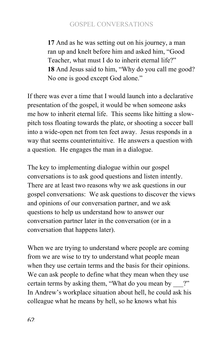**17** And as he was setting out on his journey, a man ran up and knelt before him and asked him, "Good Teacher, what must I do to inherit eternal life?" **18** And Jesus said to him, "Why do you call me good? No one is good except God alone."

If there was ever a time that I would launch into a declarative presentation of the gospel, it would be when someone asks me how to inherit eternal life. This seems like hitting a slowpitch toss floating towards the plate, or shooting a soccer ball into a wide-open net from ten feet away. Jesus responds in a way that seems counterintuitive. He answers a question with a question. He engages the man in a dialogue.

The key to implementing dialogue within our gospel conversations is to ask good questions and listen intently. There are at least two reasons why we ask questions in our gospel conversations: We ask questions to discover the views and opinions of our conversation partner, and we ask questions to help us understand how to answer our conversation partner later in the conversation (or in a conversation that happens later).

When we are trying to understand where people are coming from we are wise to try to understand what people mean when they use certain terms and the basis for their opinions. We can ask people to define what they mean when they use certain terms by asking them, "What do you mean by ?" In Andrew's workplace situation about hell, he could ask his colleague what he means by hell, so he knows what his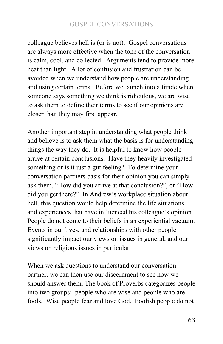colleague believes hell is (or is not). Gospel conversations are always more effective when the tone of the conversation is calm, cool, and collected. Arguments tend to provide more heat than light. A lot of confusion and frustration can be avoided when we understand how people are understanding and using certain terms. Before we launch into a tirade when someone says something we think is ridiculous, we are wise to ask them to define their terms to see if our opinions are closer than they may first appear.

Another important step in understanding what people think and believe is to ask them what the basis is for understanding things the way they do. It is helpful to know how people arrive at certain conclusions. Have they heavily investigated something or is it just a gut feeling? To determine your conversation partners basis for their opinion you can simply ask them, "How did you arrive at that conclusion?", or "How did you get there?" In Andrew's workplace situation about hell, this question would help determine the life situations and experiences that have influenced his colleague's opinion. People do not come to their beliefs in an experiential vacuum. Events in our lives, and relationships with other people significantly impact our views on issues in general, and our views on religious issues in particular.

When we ask questions to understand our conversation partner, we can then use our discernment to see how we should answer them. The book of Proverbs categorizes people into two groups: people who are wise and people who are fools. Wise people fear and love God. Foolish people do not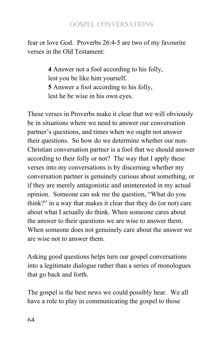fear or love God. Proverbs 26:4-5 are two of my favourite verses in the Old Testament:

> **4** Answer not a fool according to his folly, lest you be like him yourself. **5** Answer a fool according to his folly, lest he be wise in his own eyes.

These verses in Proverbs make it clear that we will obviously be in situations where we need to answer our conversation partner's questions, and times when we ought not answer their questions. So how do we determine whether our non-Christian conversation partner is a fool that we should answer according to their folly or not? The way that I apply these verses into my conversations is by discerning whether my conversation partner is genuinely curious about something, or if they are merely antagonistic and uninterested in my actual opinion. Someone can ask me the question, "What do you think?" in a way that makes it clear that they do (or not) care about what I actually do think. When someone cares about the answer to their questions we are wise to answer them. When someone does not genuinely care about the answer we are wise not to answer them.

Asking good questions helps turn our gospel conversations into a legitimate dialogue rather than a series of monologues that go back and forth.

The gospel is the best news we could possibly hear. We all have a role to play in communicating the gospel to those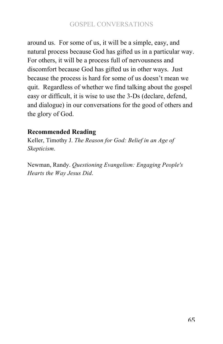around us. For some of us, it will be a simple, easy, and natural process because God has gifted us in a particular way. For others, it will be a process full of nervousness and discomfort because God has gifted us in other ways. Just because the process is hard for some of us doesn't mean we quit. Regardless of whether we find talking about the gospel easy or difficult, it is wise to use the 3-Ds (declare, defend, and dialogue) in our conversations for the good of others and the glory of God.

# **Recommended Reading**

Keller, Timothy J. *The Reason for God: Belief in an Age of Skepticism*.

Newman, Randy. *Questioning Evangelism: Engaging People's Hearts the Way Jesus Did*.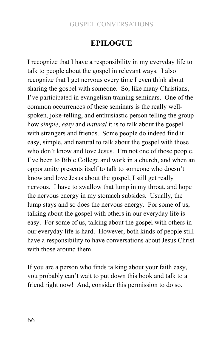# **EPILOGUE**

I recognize that I have a responsibility in my everyday life to talk to people about the gospel in relevant ways. I also recognize that I get nervous every time I even think about sharing the gospel with someone. So, like many Christians, I've participated in evangelism training seminars. One of the common occurrences of these seminars is the really wellspoken, joke-telling, and enthusiastic person telling the group how *simple*, *easy* and *natural* it is to talk about the gospel with strangers and friends. Some people do indeed find it easy, simple, and natural to talk about the gospel with those who don't know and love Jesus. I'm not one of those people. I've been to Bible College and work in a church, and when an opportunity presents itself to talk to someone who doesn't know and love Jesus about the gospel, I still get really nervous. I have to swallow that lump in my throat, and hope the nervous energy in my stomach subsides. Usually, the lump stays and so does the nervous energy. For some of us, talking about the gospel with others in our everyday life is easy. For some of us, talking about the gospel with others in our everyday life is hard. However, both kinds of people still have a responsibility to have conversations about Jesus Christ with those around them.

If you are a person who finds talking about your faith easy, you probably can't wait to put down this book and talk to a friend right now! And, consider this permission to do so.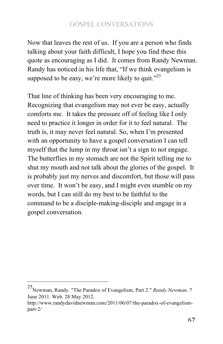Now that leaves the rest of us. If you are a person who finds talking about your faith difficult, I hope you find these this quote as encouraging as I did. It comes from Randy Newman. Randy has noticed in his life that, "If we think evangelism is supposed to be easy, we're more likely to quit." $25$ 

That line of thinking has been very encouraging to me. Recognizing that evangelism may not ever be easy, actually comforts me. It takes the pressure off of feeling like I only need to practice it longer in order for it to feel natural. The truth is, it may never feel natural. So, when I'm presented with an opportunity to have a gospel conversation I can tell myself that the lump in my throat isn't a sign to not engage. The butterflies in my stomach are not the Spirit telling me to shut my mouth and not talk about the glories of the gospel. It is probably just my nerves and discomfort, but those will pass over time. It won't be easy, and I might even stumble on my words, but I can still do my best to be faithful to the command to be a disciple-making-disciple and engage in a gospel conversation.

<sup>!!!!!!!!!!!!!!!!!!!!!!!!!!!!!!!!!!!!!!!!!!!!!!!!!!!!!!!</sup> 25Newman, Randy. "The Paradox of Evangelism, Part 2." *Randy Newman*. 7 June 2011. Web. 28 May 2012.

http://www.randydavidnewman.com/2011/06/07/the-paradox-of-evangelismpart-2/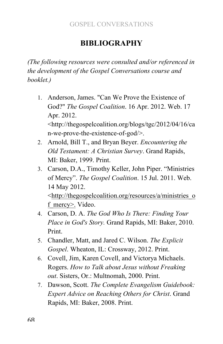# **BIBLIOGRAPHY**

*(The following resources were consulted and/or referenced in the development of the Gospel Conversations course and booklet.)*

- 1. Anderson, James. "Can We Prove the Existence of God?" *The Gospel Coalition*. 16 Apr. 2012. Web. 17 Apr. 2012. <http://thegospelcoalition.org/blogs/tgc/2012/04/16/ca n-we-prove-the-existence-of-god/>.
- 2. Arnold, Bill T., and Bryan Beyer. *Encountering the Old Testament: A Christian Survey*. Grand Rapids, MI: Baker, 1999. Print.
- 3. Carson, D.A., Timothy Keller, John Piper. "Ministries of Mercy". *The Gospel Coalition*. 15 Jul. 2011. Web. 14 May 2012. <http://thegospelcoalition.org/resources/a/ministries\_o f mercy>. Video.
- 4. Carson, D. A. *The God Who Is There: Finding Your Place in God's Story.* Grand Rapids, MI: Baker, 2010. Print.
- 5. Chandler, Matt, and Jared C. Wilson. *The Explicit Gospel*. Wheaton, IL: Crossway, 2012. Print.
- 6. Covell, Jim, Karen Covell, and Victorya Michaels. Rogers. *How to Talk about Jesus without Freaking out*. Sisters, Or.: Multnomah, 2000. Print.
- 7. Dawson, Scott. *The Complete Evangelism Guidebook: Expert Advice on Reaching Others for Christ*. Grand Rapids, MI: Baker, 2008. Print.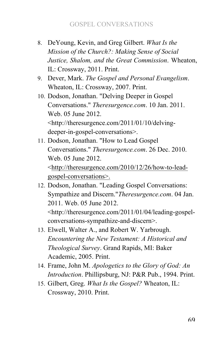- 8. DeYoung, Kevin, and Greg Gilbert. *What Is the Mission of the Church?: Making Sense of Social Justice, Shalom, and the Great Commission*. Wheaton, IL: Crossway, 2011. Print.
- 9. Dever, Mark. *The Gospel and Personal Evangelism*. Wheaton, IL: Crossway, 2007. Print.
- 10. Dodson, Jonathan. "Delving Deeper in Gospel Conversations." *Theresurgence.com*. 10 Jan. 2011. Web. 05 June 2012. <http://theresurgence.com/2011/01/10/delvingdeeper-in-gospel-conversations>.
- 11. Dodson, Jonathan. "How to Lead Gospel Conversations." *Theresurgence.com*. 26 Dec. 2010. Web. 05 June 2012. <http://theresurgence.com/2010/12/26/how-to-leadgospel-conversations>.
- 12. Dodson, Jonathan. "Leading Gospel Conversations: Sympathize and Discern."*Theresurgence.com*. 04 Jan. 2011. Web. 05 June 2012. <http://theresurgence.com/2011/01/04/leading-gospelconversations-sympathize-and-discern>.
- 13. Elwell, Walter A., and Robert W. Yarbrough. *Encountering the New Testament: A Historical and Theological Survey*. Grand Rapids, MI: Baker Academic, 2005. Print.
- 14. Frame, John M. *Apologetics to the Glory of God: An Introduction*. Phillipsburg, NJ: P&R Pub., 1994. Print.
- 15. Gilbert, Greg. *What Is the Gospel?* Wheaton, IL: Crossway, 2010. Print.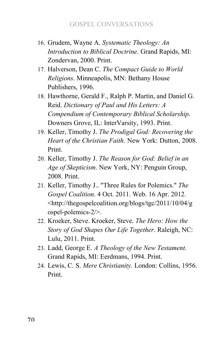- 16. Grudem, Wayne A. *Systematic Theology: An Introduction to Biblical Doctrine*. Grand Rapids, MI: Zondervan, 2000. Print.
- 17. Halverson, Dean C. *The Compact Guide to World Religions*. Minneapolis, MN: Bethany House Publishers, 1996.
- 18. Hawthorne, Gerald F., Ralph P. Martin, and Daniel G. Reid. *Dictionary of Paul and His Letters: A Compendium of Contemporary Biblical Scholarship*. Downers Grove, IL: InterVarsity, 1993. Print.
- 19. Keller, Timothy J. *The Prodigal God: Recovering the Heart of the Christian Faith*. New York: Dutton, 2008. Print.
- 20. Keller, Timothy J. *The Reason for God: Belief in an Age of Skepticism*. New York, NY: Penguin Group, 2008. Print.
- 21. Keller, Timothy J.. "Three Rules for Polemics." *The Gospel Coalition*. 4 Oct. 2011. Web. 16 Apr. 2012. <http://thegospelcoalition.org/blogs/tgc/2011/10/04/g ospel-polemics-2/>.
- 22. Kroeker, Steve. Kroeker, Steve. *The Hero: How the Story of God Shapes Our Life Together*. Raleigh, NC: Lulu, 2011. Print.
- 23. Ladd, George E. *A Theology of the New Testament*. Grand Rapids, MI: Eerdmans, 1994. Print.
- 24. Lewis, C. S. *Mere Christianity.* London: Collins, 1956. Print.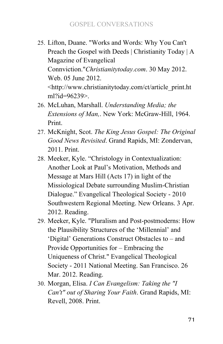- 25. Lifton, Duane. "Works and Words: Why You Can't Preach the Gospel with Deeds | Christianity Today | A Magazine of Evangelical Connviction."*Christianitytoday.com*. 30 May 2012. Web. 05 June 2012. <http://www.christianitytoday.com/ct/article\_print.ht ml?id=96239>.
- 26. McLuhan, Marshall. *Understanding Media; the Extensions of Man,*. New York: McGraw-Hill, 1964. Print.
- 27. McKnight, Scot. *The King Jesus Gospel: The Original Good News Revisited*. Grand Rapids, MI: Zondervan, 2011. Print.
- 28. Meeker, Kyle. "Christology in Contextualization: Another Look at Paul's Motivation, Methods and Message at Mars Hill (Acts 17) in light of the Missiological Debate surrounding Muslim-Christian Dialogue." Evangelical Theological Society - 2010 Southwestern Regional Meeting. New Orleans. 3 Apr. 2012. Reading.
- 29. Meeker, Kyle. "Pluralism and Post-postmoderns: How the Plausibility Structures of the 'Millennial' and 'Digital' Generations Construct Obstacles to – and Provide Opportunities for – Embracing the Uniqueness of Christ." Evangelical Theological Society - 2011 National Meeting. San Francisco. 26 Mar. 2012. Reading.
- 30. Morgan, Elisa. *I Can Evangelism: Taking the "I Can't" out of Sharing Your Faith*. Grand Rapids, MI: Revell, 2008. Print.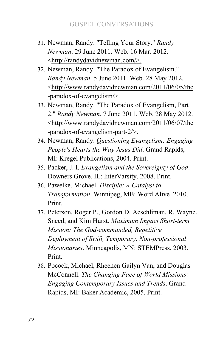- 31. Newman, Randy. "Telling Your Story." *Randy Newman*. 29 June 2011. Web. 16 Mar. 2012. <http://randydavidnewman.com/>.
- 32. Newman, Randy. "The Paradox of Evangelism." *Randy Newman*. 5 June 2011. Web. 28 May 2012. <http://www.randydavidnewman.com/2011/06/05/the -paradox-of-evangelism/>.
- 33. Newman, Randy. "The Paradox of Evangelism, Part 2." *Randy Newman*. 7 June 2011. Web. 28 May 2012. <http://www.randydavidnewman.com/2011/06/07/the -paradox-of-evangelism-part-2/>.
- 34. Newman, Randy. *Questioning Evangelism: Engaging People's Hearts the Way Jesus Did*. Grand Rapids, MI: Kregel Publications, 2004. Print.
- 35. Packer, J. I. *Evangelism and the Sovereignty of God*. Downers Grove, IL: InterVarsity, 2008. Print.
- 36. Pawelke, Michael. *Disciple: A Catalyst to Transformation*. Winnipeg, MB: Word Alive, 2010. Print.
- 37. Peterson, Roger P., Gordon D. Aeschliman, R. Wayne. Sneed, and Kim Hurst. *Maximum Impact Short-term Mission: The God-commanded, Repetitive Deployment of Swift, Temporary, Non-professional Missionaries*. Minneapolis, MN: STEMPress, 2003. Print.
- 38. Pocock, Michael, Rheenen Gailyn Van, and Douglas McConnell. *The Changing Face of World Missions: Engaging Contemporary Issues and Trends*. Grand Rapids, MI: Baker Academic, 2005. Print.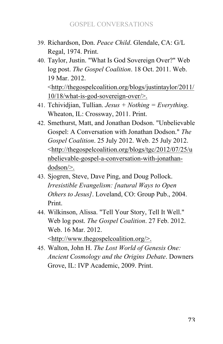- 39. Richardson, Don. *Peace Child*. Glendale, CA: G/L Regal, 1974. Print.
- 40. Taylor, Justin. "What Is God Sovereign Over?" Web log post. *The Gospel Coalition*. 18 Oct. 2011. Web. 19 Mar. 2012. <http://thegospelcoalition.org/blogs/justintaylor/2011/ 10/18/what-is-god-sovereign-over/>.
- 41. Tchividjian, Tullian. *Jesus + Nothing = Everything*. Wheaton, IL: Crossway, 2011. Print.
- 42. Smethurst, Matt, and Jonathan Dodson. "Unbelievable Gospel: A Conversation with Jonathan Dodson." *The Gospel Coalition*. 25 July 2012. Web. 25 July 2012. <http://thegospelcoalition.org/blogs/tgc/2012/07/25/u nbelievable-gospel-a-conversation-with-jonathandodson/>.
- 43. Sjogren, Steve, Dave Ping, and Doug Pollock. *Irresistible Evangelism: [natural Ways to Open Others to Jesus]*. Loveland, CO: Group Pub., 2004. Print.
- 44. Wilkinson, Alissa. "Tell Your Story, Tell It Well." Web log post. *The Gospel Coalition*. 27 Feb. 2012. Web. 16 Mar. 2012. <http://www.thegospelcoalition.org/>.
- 45. Walton, John H. *The Lost World of Genesis One: Ancient Cosmology and the Origins Debate*. Downers Grove, IL: IVP Academic, 2009. Print.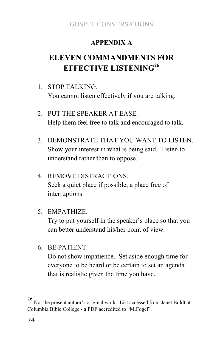### **APPENDIX A**

# **ELEVEN COMMANDMENTS FOR EFFECTIVE LISTENING26**

- 1. STOP TALKING. You cannot listen effectively if you are talking.
- 2. PUT THE SPEAKER AT EASE. Help them feel free to talk and encouraged to talk.
- 3. DEMONSTRATE THAT YOU WANT TO LISTEN. Show your interest in what is being said. Listen to understand rather than to oppose.
- 4. REMOVE DISTRACTIONS. Seek a quiet place if possible, a place free of interruptions.
- 5. EMPATHIZE.

Try to put yourself in the speaker's place so that you can better understand his/her point of view.

6. BE PATIENT.

Do not show impatience. Set aside enough time for everyone to be heard or be certain to set an agenda that is realistic given the time you have.

Not the present author's original work. List accessed from Janet Boldt at Columbia Bible College - a PDF accredited to "M.Fogel".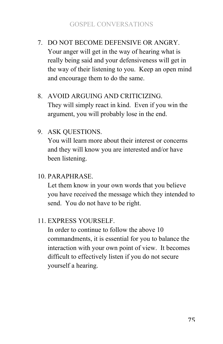- 7. DO NOT BECOME DEFENSIVE OR ANGRY. Your anger will get in the way of hearing what is really being said and your defensiveness will get in the way of their listening to you. Keep an open mind and encourage them to do the same.
- 8. AVOID ARGUING AND CRITICIZING. They will simply react in kind. Even if you win the argument, you will probably lose in the end.
- 9. ASK QUESTIONS.

You will learn more about their interest or concerns and they will know you are interested and/or have been listening.

10. PARAPHRASE.

Let them know in your own words that you believe you have received the message which they intended to send. You do not have to be right.

11. EXPRESS YOURSELF.

In order to continue to follow the above 10 commandments, it is essential for you to balance the interaction with your own point of view. It becomes difficult to effectively listen if you do not secure yourself a hearing.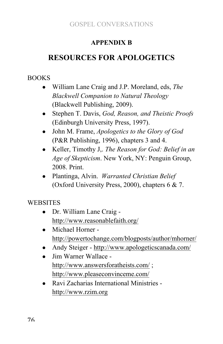### **APPENDIX B**

## **RESOURCES FOR APOLOGETICS**

#### BOOKS

- William Lane Craig and J.P. Moreland, eds, *The Blackwell Companion to Natural Theology* (Blackwell Publishing, 2009).
- Stephen T. Davis, *God, Reason, and Theistic Proofs* (Edinburgh University Press, 1997).
- John M. Frame, *Apologetics to the Glory of God* (P&R Publishing, 1996), chapters 3 and 4.
- Keller, Timothy J,. *The Reason for God: Belief in an Age of Skepticism*. New York, NY: Penguin Group, 2008. Print.
- Plantinga, Alvin. *Warranted Christian Belief* (Oxford University Press, 2000), chapters 6 & 7.

**WEBSITES** 

- Dr. William Lane Craig http://www.reasonablefaith.org/
- Michael Horner http://powertochange.com/blogposts/author/mhorner/
- Andy Steiger http://www.apologeticscanada.com/
- Jim Warner Wallace http://www.answersforatheists.com/ ; http://www.pleaseconvinceme.com/
- Ravi Zacharias International Ministries http://www.rzim.org